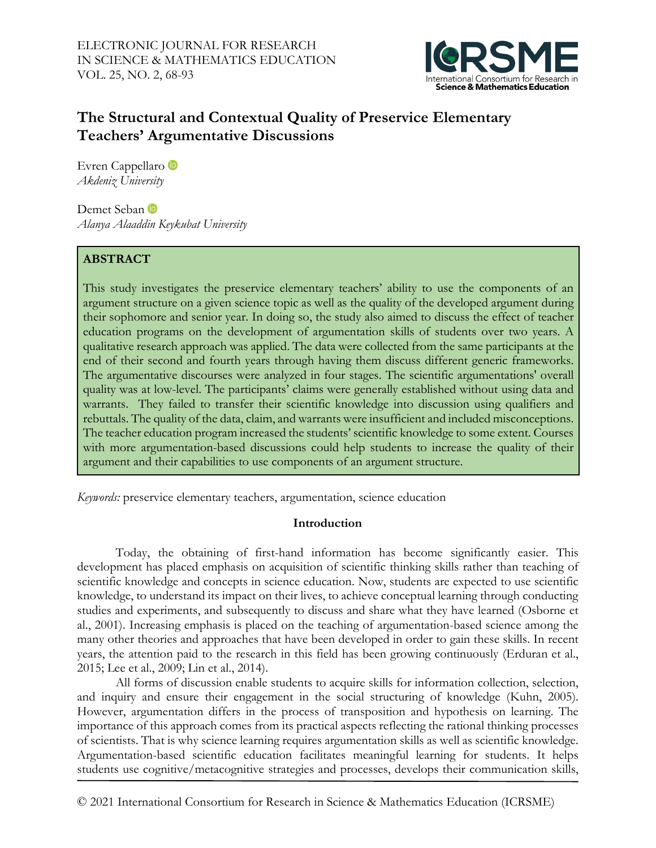

# **The Structural and Contextual Quality of Preservice Elementary Teachers' Argumentative Discussions**

Evren Cappellaro<sup>t</sup> *Akdeniz University*

Demet Seban *Alanya Alaaddin Keykubat University*

## **ABSTRACT**

This study investigates the preservice elementary teachers' ability to use the components of an argument structure on a given science topic as well as the quality of the developed argument during their sophomore and senior year. In doing so, the study also aimed to discuss the effect of teacher education programs on the development of argumentation skills of students over two years. A qualitative research approach was applied. The data were collected from the same participants at the end of their second and fourth years through having them discuss different generic frameworks. The argumentative discourses were analyzed in four stages. The scientific argumentations' overall quality was at low-level. The participants' claims were generally established without using data and warrants. They failed to transfer their scientific knowledge into discussion using qualifiers and rebuttals. The quality of the data, claim, and warrants were insufficient and included misconceptions. The teacher education program increased the students' scientific knowledge to some extent. Courses with more argumentation-based discussions could help students to increase the quality of their argument and their capabilities to use components of an argument structure.

*Keywords:* preservice elementary teachers, argumentation, science education

## **Introduction**

Today, the obtaining of first-hand information has become significantly easier. This development has placed emphasis on acquisition of scientific thinking skills rather than teaching of scientific knowledge and concepts in science education. Now, students are expected to use scientific knowledge, to understand its impact on their lives, to achieve conceptual learning through conducting studies and experiments, and subsequently to discuss and share what they have learned (Osborne et al., 2001). Increasing emphasis is placed on the teaching of argumentation-based science among the many other theories and approaches that have been developed in order to gain these skills. In recent years, the attention paid to the research in this field has been growing continuously (Erduran et al., 2015; Lee et al., 2009; Lin et al., 2014).

All forms of discussion enable students to acquire skills for information collection, selection, and inquiry and ensure their engagement in the social structuring of knowledge (Kuhn, 2005). However, argumentation differs in the process of transposition and hypothesis on learning. The importance of this approach comes from its practical aspects reflecting the rational thinking processes of scientists. That is why science learning requires argumentation skills as well as scientific knowledge. Argumentation-based scientific education facilitates meaningful learning for students. It helps students use cognitive/metacognitive strategies and processes, develops their communication skills,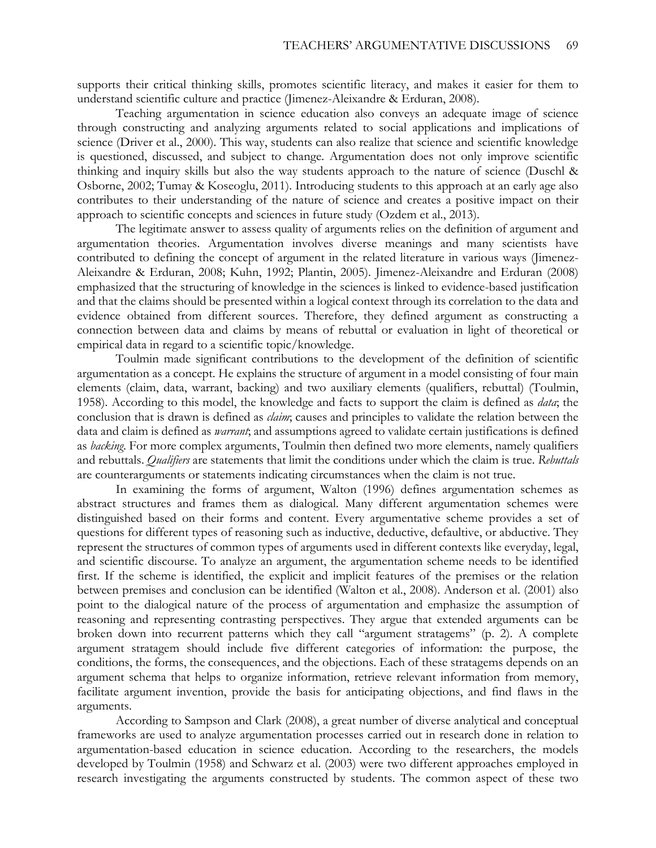supports their critical thinking skills, promotes scientific literacy, and makes it easier for them to understand scientific culture and practice (Jimenez-Aleixandre & Erduran, 2008).

Teaching argumentation in science education also conveys an adequate image of science through constructing and analyzing arguments related to social applications and implications of science (Driver et al., 2000). This way, students can also realize that science and scientific knowledge is questioned, discussed, and subject to change. Argumentation does not only improve scientific thinking and inquiry skills but also the way students approach to the nature of science (Duschl & Osborne, 2002; Tumay & Koseoglu, 2011). Introducing students to this approach at an early age also contributes to their understanding of the nature of science and creates a positive impact on their approach to scientific concepts and sciences in future study (Ozdem et al., 2013).

The legitimate answer to assess quality of arguments relies on the definition of argument and argumentation theories. Argumentation involves diverse meanings and many scientists have contributed to defining the concept of argument in the related literature in various ways (Jimenez-Aleixandre & Erduran, 2008; Kuhn, 1992; Plantin, 2005). Jimenez-Aleixandre and Erduran (2008) emphasized that the structuring of knowledge in the sciences is linked to evidence-based justification and that the claims should be presented within a logical context through its correlation to the data and evidence obtained from different sources. Therefore, they defined argument as constructing a connection between data and claims by means of rebuttal or evaluation in light of theoretical or empirical data in regard to a scientific topic/knowledge.

Toulmin made significant contributions to the development of the definition of scientific argumentation as a concept. He explains the structure of argument in a model consisting of four main elements (claim, data, warrant, backing) and two auxiliary elements (qualifiers, rebuttal) (Toulmin, 1958). According to this model, the knowledge and facts to support the claim is defined as *data*; the conclusion that is drawn is defined as *claim*; causes and principles to validate the relation between the data and claim is defined as *warrant*; and assumptions agreed to validate certain justifications is defined as *backing*. For more complex arguments, Toulmin then defined two more elements, namely qualifiers and rebuttals. *Qualifiers* are statements that limit the conditions under which the claim is true. *Rebuttals* are counterarguments or statements indicating circumstances when the claim is not true.

In examining the forms of argument, Walton (1996) defines argumentation schemes as abstract structures and frames them as dialogical. Many different argumentation schemes were distinguished based on their forms and content. Every argumentative scheme provides a set of questions for different types of reasoning such as inductive, deductive, defaultive, or abductive. They represent the structures of common types of arguments used in different contexts like everyday, legal, and scientific discourse. To analyze an argument, the argumentation scheme needs to be identified first. If the scheme is identified, the explicit and implicit features of the premises or the relation between premises and conclusion can be identified (Walton et al., 2008). Anderson et al. (2001) also point to the dialogical nature of the process of argumentation and emphasize the assumption of reasoning and representing contrasting perspectives. They argue that extended arguments can be broken down into recurrent patterns which they call "argument stratagems" (p. 2). A complete argument stratagem should include five different categories of information: the purpose, the conditions, the forms, the consequences, and the objections. Each of these stratagems depends on an argument schema that helps to organize information, retrieve relevant information from memory, facilitate argument invention, provide the basis for anticipating objections, and find flaws in the arguments.

According to Sampson and Clark (2008), a great number of diverse analytical and conceptual frameworks are used to analyze argumentation processes carried out in research done in relation to argumentation-based education in science education. According to the researchers, the models developed by Toulmin (1958) and Schwarz et al. (2003) were two different approaches employed in research investigating the arguments constructed by students. The common aspect of these two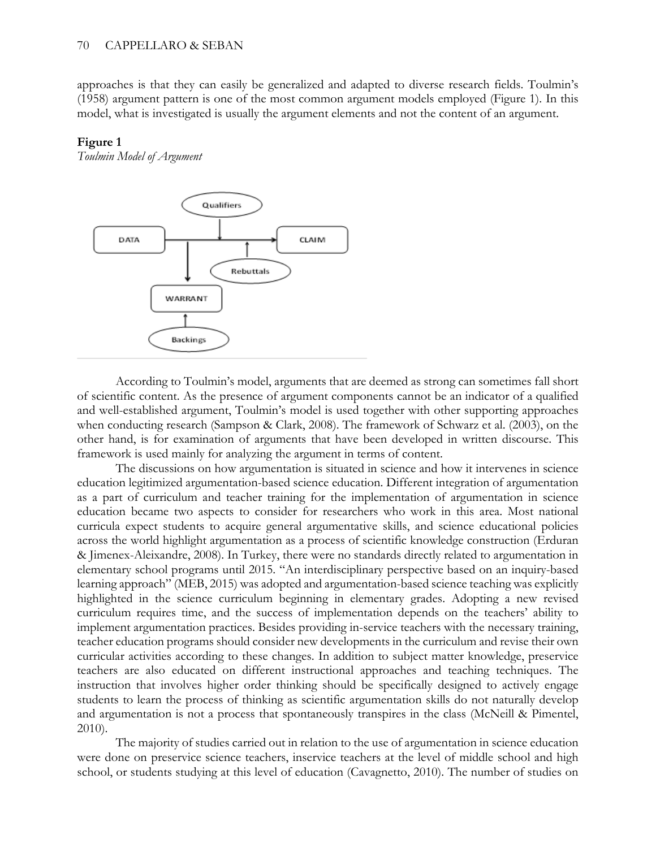approaches is that they can easily be generalized and adapted to diverse research fields. Toulmin's (1958) argument pattern is one of the most common argument models employed (Figure 1). In this model, what is investigated is usually the argument elements and not the content of an argument.

### **Figure 1**

*Toulmin Model of Argument*



According to Toulmin's model, arguments that are deemed as strong can sometimes fall short of scientific content. As the presence of argument components cannot be an indicator of a qualified and well-established argument, Toulmin's model is used together with other supporting approaches when conducting research (Sampson & Clark, 2008). The framework of Schwarz et al. (2003), on the other hand, is for examination of arguments that have been developed in written discourse. This framework is used mainly for analyzing the argument in terms of content.

The discussions on how argumentation is situated in science and how it intervenes in science education legitimized argumentation-based science education. Different integration of argumentation as a part of curriculum and teacher training for the implementation of argumentation in science education became two aspects to consider for researchers who work in this area. Most national curricula expect students to acquire general argumentative skills, and science educational policies across the world highlight argumentation as a process of scientific knowledge construction (Erduran & Jimenex-Aleixandre, 2008). In Turkey, there were no standards directly related to argumentation in elementary school programs until 2015. "An interdisciplinary perspective based on an inquiry-based learning approach" (MEB, 2015) was adopted and argumentation-based science teaching was explicitly highlighted in the science curriculum beginning in elementary grades. Adopting a new revised curriculum requires time, and the success of implementation depends on the teachers' ability to implement argumentation practices. Besides providing in-service teachers with the necessary training, teacher education programs should consider new developments in the curriculum and revise their own curricular activities according to these changes. In addition to subject matter knowledge, preservice teachers are also educated on different instructional approaches and teaching techniques. The instruction that involves higher order thinking should be specifically designed to actively engage students to learn the process of thinking as scientific argumentation skills do not naturally develop and argumentation is not a process that spontaneously transpires in the class (McNeill & Pimentel, 2010).

The majority of studies carried out in relation to the use of argumentation in science education were done on preservice science teachers, inservice teachers at the level of middle school and high school, or students studying at this level of education (Cavagnetto, 2010). The number of studies on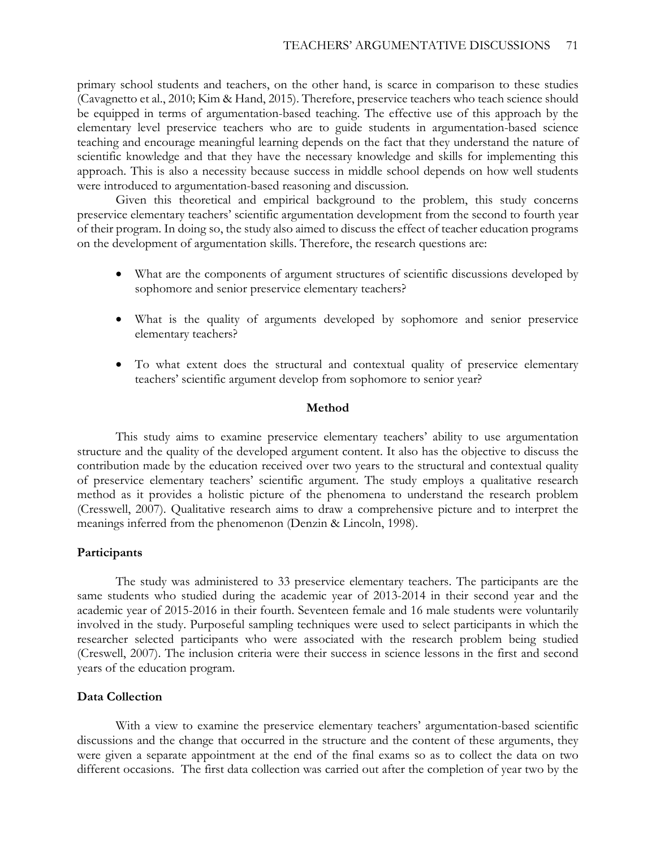primary school students and teachers, on the other hand, is scarce in comparison to these studies (Cavagnetto et al., 2010; Kim & Hand, 2015). Therefore, preservice teachers who teach science should be equipped in terms of argumentation-based teaching. The effective use of this approach by the elementary level preservice teachers who are to guide students in argumentation-based science teaching and encourage meaningful learning depends on the fact that they understand the nature of scientific knowledge and that they have the necessary knowledge and skills for implementing this approach. This is also a necessity because success in middle school depends on how well students were introduced to argumentation-based reasoning and discussion.

Given this theoretical and empirical background to the problem, this study concerns preservice elementary teachers' scientific argumentation development from the second to fourth year of their program. In doing so, the study also aimed to discuss the effect of teacher education programs on the development of argumentation skills. Therefore, the research questions are:

- What are the components of argument structures of scientific discussions developed by sophomore and senior preservice elementary teachers?
- What is the quality of arguments developed by sophomore and senior preservice elementary teachers?
- To what extent does the structural and contextual quality of preservice elementary teachers' scientific argument develop from sophomore to senior year?

### **Method**

This study aims to examine preservice elementary teachers' ability to use argumentation structure and the quality of the developed argument content. It also has the objective to discuss the contribution made by the education received over two years to the structural and contextual quality of preservice elementary teachers' scientific argument. The study employs a qualitative research method as it provides a holistic picture of the phenomena to understand the research problem (Cresswell, 2007). Qualitative research aims to draw a comprehensive picture and to interpret the meanings inferred from the phenomenon (Denzin & Lincoln, 1998).

#### **Participants**

The study was administered to 33 preservice elementary teachers. The participants are the same students who studied during the academic year of 2013-2014 in their second year and the academic year of 2015-2016 in their fourth. Seventeen female and 16 male students were voluntarily involved in the study. Purposeful sampling techniques were used to select participants in which the researcher selected participants who were associated with the research problem being studied (Creswell, 2007). The inclusion criteria were their success in science lessons in the first and second years of the education program.

### **Data Collection**

With a view to examine the preservice elementary teachers' argumentation-based scientific discussions and the change that occurred in the structure and the content of these arguments, they were given a separate appointment at the end of the final exams so as to collect the data on two different occasions. The first data collection was carried out after the completion of year two by the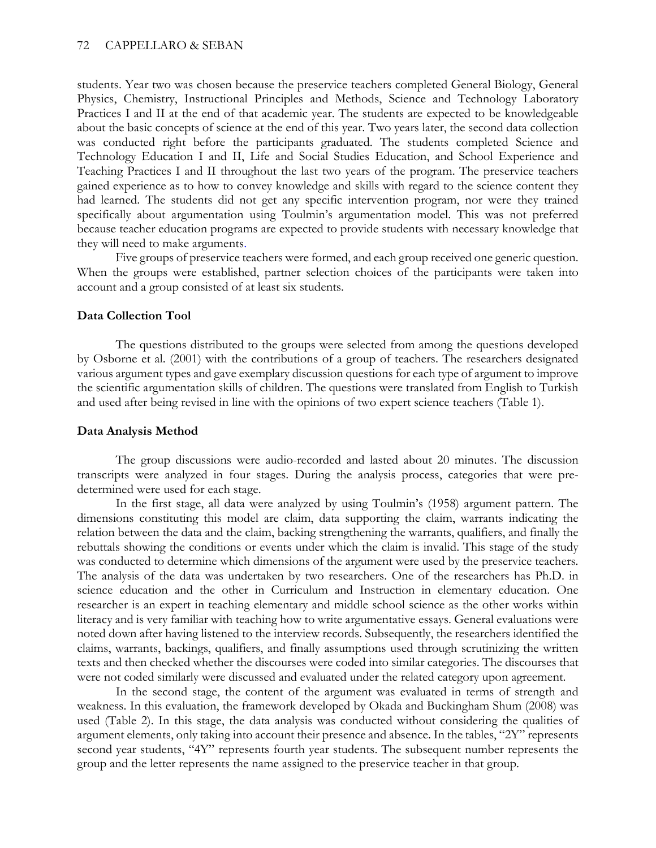### 72 CAPPELLARO & SEBAN

students. Year two was chosen because the preservice teachers completed General Biology, General Physics, Chemistry, Instructional Principles and Methods, Science and Technology Laboratory Practices I and II at the end of that academic year. The students are expected to be knowledgeable about the basic concepts of science at the end of this year. Two years later, the second data collection was conducted right before the participants graduated. The students completed Science and Technology Education I and II, Life and Social Studies Education, and School Experience and Teaching Practices I and II throughout the last two years of the program. The preservice teachers gained experience as to how to convey knowledge and skills with regard to the science content they had learned. The students did not get any specific intervention program, nor were they trained specifically about argumentation using Toulmin's argumentation model. This was not preferred because teacher education programs are expected to provide students with necessary knowledge that they will need to make arguments.

Five groups of preservice teachers were formed, and each group received one generic question. When the groups were established, partner selection choices of the participants were taken into account and a group consisted of at least six students.

### **Data Collection Tool**

The questions distributed to the groups were selected from among the questions developed by Osborne et al. (2001) with the contributions of a group of teachers. The researchers designated various argument types and gave exemplary discussion questions for each type of argument to improve the scientific argumentation skills of children. The questions were translated from English to Turkish and used after being revised in line with the opinions of two expert science teachers (Table 1).

### **Data Analysis Method**

The group discussions were audio-recorded and lasted about 20 minutes. The discussion transcripts were analyzed in four stages. During the analysis process, categories that were predetermined were used for each stage.

In the first stage, all data were analyzed by using Toulmin's (1958) argument pattern. The dimensions constituting this model are claim, data supporting the claim, warrants indicating the relation between the data and the claim, backing strengthening the warrants, qualifiers, and finally the rebuttals showing the conditions or events under which the claim is invalid. This stage of the study was conducted to determine which dimensions of the argument were used by the preservice teachers. The analysis of the data was undertaken by two researchers. One of the researchers has Ph.D. in science education and the other in Curriculum and Instruction in elementary education. One researcher is an expert in teaching elementary and middle school science as the other works within literacy and is very familiar with teaching how to write argumentative essays. General evaluations were noted down after having listened to the interview records. Subsequently, the researchers identified the claims, warrants, backings, qualifiers, and finally assumptions used through scrutinizing the written texts and then checked whether the discourses were coded into similar categories. The discourses that were not coded similarly were discussed and evaluated under the related category upon agreement.

In the second stage, the content of the argument was evaluated in terms of strength and weakness. In this evaluation, the framework developed by Okada and Buckingham Shum (2008) was used (Table 2). In this stage, the data analysis was conducted without considering the qualities of argument elements, only taking into account their presence and absence. In the tables, "2Y" represents second year students, "4Y" represents fourth year students. The subsequent number represents the group and the letter represents the name assigned to the preservice teacher in that group.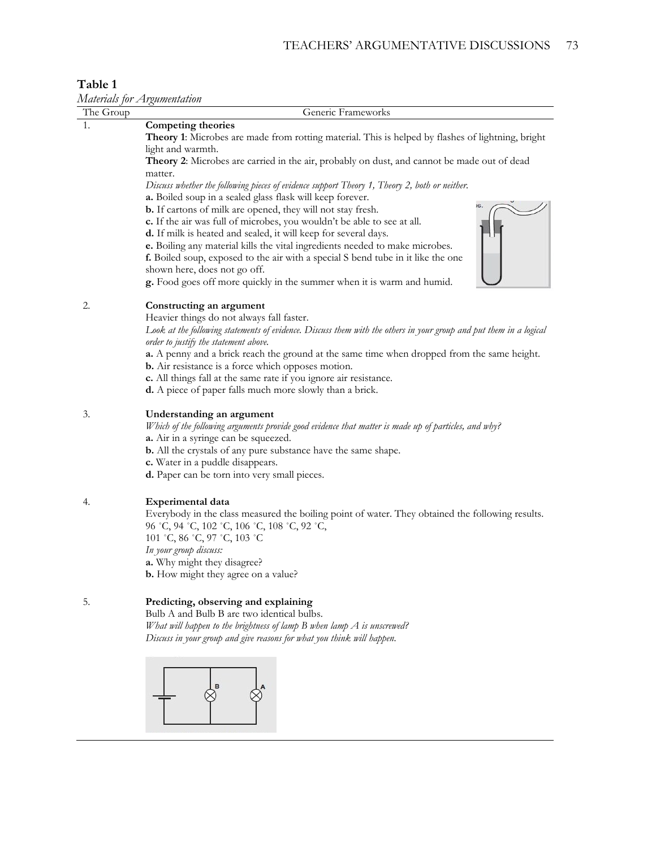## **Table 1**

*Materials for Argumentation*

| The Group | Generic Frameworks                                                                                                                                          |
|-----------|-------------------------------------------------------------------------------------------------------------------------------------------------------------|
|           | Competing theories                                                                                                                                          |
|           | Theory 1: Microbes are made from rotting material. This is helped by flashes of lightning, bright                                                           |
|           | light and warmth.                                                                                                                                           |
|           | Theory 2: Microbes are carried in the air, probably on dust, and cannot be made out of dead                                                                 |
|           | matter.                                                                                                                                                     |
|           | Discuss whether the following pieces of evidence support Theory 1, Theory 2, both or neither.                                                               |
|           | a. Boiled soup in a sealed glass flask will keep forever.                                                                                                   |
|           | <b>b.</b> If cartons of milk are opened, they will not stay fresh.                                                                                          |
|           | c. If the air was full of microbes, you wouldn't be able to see at all.                                                                                     |
|           | d. If milk is heated and sealed, it will keep for several days.                                                                                             |
|           | e. Boiling any material kills the vital ingredients needed to make microbes.                                                                                |
|           | f. Boiled soup, exposed to the air with a special S bend tube in it like the one                                                                            |
|           | shown here, does not go off.                                                                                                                                |
|           | g. Food goes off more quickly in the summer when it is warm and humid.                                                                                      |
| 2.        | Constructing an argument                                                                                                                                    |
|           | Heavier things do not always fall faster.                                                                                                                   |
|           | Look at the following statements of evidence. Discuss them with the others in your group and put them in a logical<br>order to justify the statement above. |
|           | a. A penny and a brick reach the ground at the same time when dropped from the same height.                                                                 |
|           | b. Air resistance is a force which opposes motion.                                                                                                          |
|           | c. All things fall at the same rate if you ignore air resistance.                                                                                           |
|           | <b>d.</b> A piece of paper falls much more slowly than a brick.                                                                                             |
|           |                                                                                                                                                             |
| 3.        | Understanding an argument                                                                                                                                   |
|           | Which of the following arguments provide good evidence that matter is made up of particles, and why?                                                        |
|           | a. Air in a syringe can be squeezed.                                                                                                                        |
|           | <b>b.</b> All the crystals of any pure substance have the same shape.                                                                                       |
|           | c. Water in a puddle disappears.                                                                                                                            |
|           | <b>d.</b> Paper can be torn into very small pieces.                                                                                                         |
| 4.        | <b>Experimental data</b>                                                                                                                                    |
|           | Everybody in the class measured the boiling point of water. They obtained the following results.                                                            |
|           | 96 °C, 94 °C, 102 °C, 106 °C, 108 °C, 92 °C,                                                                                                                |
|           | 101 °C, 86 °C, 97 °C, 103 °C                                                                                                                                |
|           | In your group discuss:                                                                                                                                      |
|           | a. Why might they disagree?                                                                                                                                 |
|           | <b>b.</b> How might they agree on a value?                                                                                                                  |
|           |                                                                                                                                                             |
| 5.        | Predicting, observing and explaining                                                                                                                        |
|           | Bulb A and Bulb B are two identical bulbs.                                                                                                                  |
|           | What will happen to the brightness of lamp $B$ when lamp $A$ is unscrewed?                                                                                  |
|           | Discuss in your group and give reasons for what you think will happen.                                                                                      |
|           |                                                                                                                                                             |
|           |                                                                                                                                                             |
|           |                                                                                                                                                             |
|           |                                                                                                                                                             |
|           |                                                                                                                                                             |
|           |                                                                                                                                                             |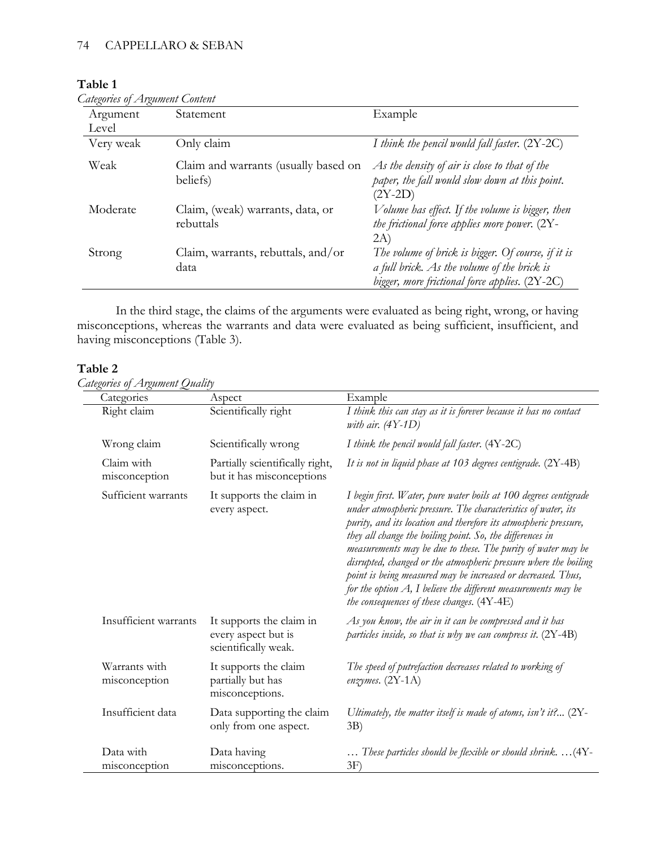## **Table 1**

| <b>Categories of Argument Content</b> |  |
|---------------------------------------|--|
|                                       |  |

| Argument  | Statement                                        | Example                                                                                                                                             |
|-----------|--------------------------------------------------|-----------------------------------------------------------------------------------------------------------------------------------------------------|
| Level     |                                                  |                                                                                                                                                     |
| Very weak | Only claim                                       | I think the pencil would fall faster. $(2Y-2C)$                                                                                                     |
| Weak      | Claim and warrants (usually based on<br>beliefs) | As the density of air is close to that of the<br>paper, the fall would slow down at this point.<br>$(2Y-2D)$                                        |
| Moderate  | Claim, (weak) warrants, data, or<br>rebuttals    | Volume has effect. If the volume is bigger, then<br>the frictional force applies more power. $(2Y -$<br>2A)                                         |
| Strong    | Claim, warrants, rebuttals, and/or<br>data       | The volume of brick is bigger. Of course, if it is<br>a full brick. As the volume of the brick is<br>bigger, more frictional force applies. (2Y-2C) |

In the third stage, the claims of the arguments were evaluated as being right, wrong, or having misconceptions, whereas the warrants and data were evaluated as being sufficient, insufficient, and having misconceptions (Table 3).

## **Table 2**

## *Categories of Argument Quality*

| Categories                     | Aspect                                                                  | Example                                                                                                                                                                                                                                                                                                                                                                                                                                                                                                                                                                                    |
|--------------------------------|-------------------------------------------------------------------------|--------------------------------------------------------------------------------------------------------------------------------------------------------------------------------------------------------------------------------------------------------------------------------------------------------------------------------------------------------------------------------------------------------------------------------------------------------------------------------------------------------------------------------------------------------------------------------------------|
| Right claim                    | Scientifically right                                                    | I think this can stay as it is forever because it has no contact<br>with air. $(4Y-1D)$                                                                                                                                                                                                                                                                                                                                                                                                                                                                                                    |
| Wrong claim                    | Scientifically wrong                                                    | I think the pencil would fall faster. $(4Y-2C)$                                                                                                                                                                                                                                                                                                                                                                                                                                                                                                                                            |
| Claim with<br>misconception    | Partially scientifically right,<br>but it has misconceptions            | It is not in liquid phase at 103 degrees centigrade. (2Y-4B)                                                                                                                                                                                                                                                                                                                                                                                                                                                                                                                               |
| Sufficient warrants            | It supports the claim in<br>every aspect.                               | I begin first. Water, pure water boils at 100 degrees centigrade<br>under atmospheric pressure. The characteristics of water, its<br>purity, and its location and therefore its atmospheric pressure,<br>they all change the boiling point. So, the differences in<br>measurements may be due to these. The purity of water may be<br>disrupted, changed or the atmospheric pressure where the boiling<br>point is being measured may be increased or decreased. Thus,<br>for the option $A$ , I believe the different measurements may be<br>the consequences of these changes. $(4Y-4E)$ |
| Insufficient warrants          | It supports the claim in<br>every aspect but is<br>scientifically weak. | As you know, the air in it can be compressed and it has<br>particles inside, so that is why we can compress it. $(2Y-4B)$                                                                                                                                                                                                                                                                                                                                                                                                                                                                  |
| Warrants with<br>misconception | It supports the claim<br>partially but has<br>misconceptions.           | The speed of putrefaction decreases related to working of<br>enzymes. $(2Y-1A)$                                                                                                                                                                                                                                                                                                                                                                                                                                                                                                            |
| Insufficient data              | Data supporting the claim<br>only from one aspect.                      | Ultimately, the matter itself is made of atoms, isn't it? $(2Y -$<br>3B)                                                                                                                                                                                                                                                                                                                                                                                                                                                                                                                   |
| Data with<br>misconception     | Data having<br>misconceptions.                                          | These particles should be flexible or should shrink. (4Y-<br>3F)                                                                                                                                                                                                                                                                                                                                                                                                                                                                                                                           |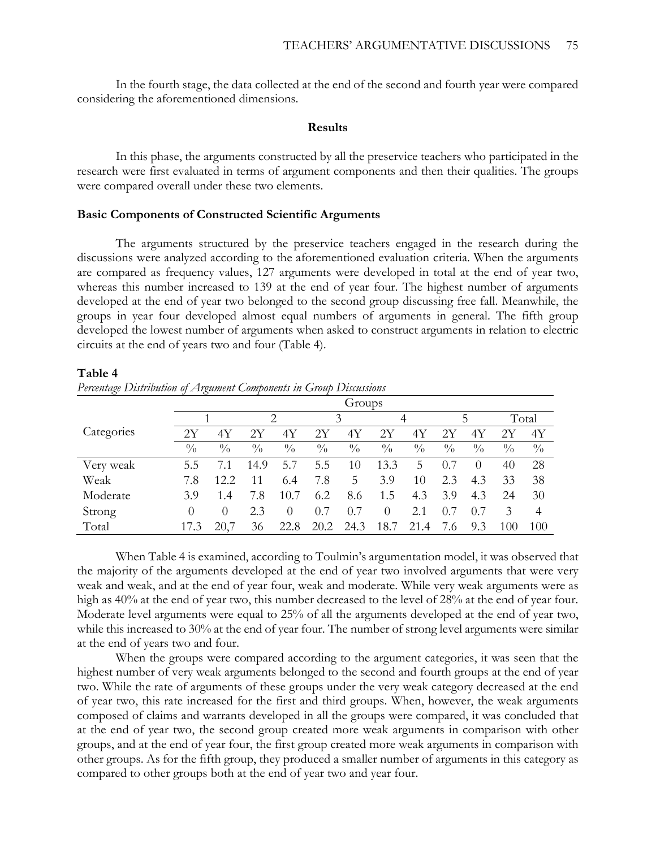In the fourth stage, the data collected at the end of the second and fourth year were compared considering the aforementioned dimensions.

#### **Results**

In this phase, the arguments constructed by all the preservice teachers who participated in the research were first evaluated in terms of argument components and then their qualities. The groups were compared overall under these two elements.

#### **Basic Components of Constructed Scientific Arguments**

The arguments structured by the preservice teachers engaged in the research during the discussions were analyzed according to the aforementioned evaluation criteria. When the arguments are compared as frequency values, 127 arguments were developed in total at the end of year two, whereas this number increased to 139 at the end of year four. The highest number of arguments developed at the end of year two belonged to the second group discussing free fall. Meanwhile, the groups in year four developed almost equal numbers of arguments in general. The fifth group developed the lowest number of arguments when asked to construct arguments in relation to electric circuits at the end of years two and four (Table 4).

#### **Table 4**

*Percentage Distribution of Argument Components in Group Discussions* 

|            | Groups        |               |               |               |               |               |               |               |               |               |               |                |
|------------|---------------|---------------|---------------|---------------|---------------|---------------|---------------|---------------|---------------|---------------|---------------|----------------|
|            |               |               |               | 2             |               | 3             |               | 4             |               | 5             |               | Total          |
| Categories | 2Y            | 4Y            | 2Y            | 4Y            | 2Y            | 4Y            | 2Υ            | 4Y            | 2Υ            | 4Y            | 2Y            | 4Y             |
|            | $\frac{0}{0}$ | $\frac{0}{0}$ | $\frac{0}{0}$ | $\frac{0}{0}$ | $\frac{0}{0}$ | $\frac{0}{0}$ | $\frac{0}{0}$ | $\frac{0}{0}$ | $\frac{0}{0}$ | $\frac{0}{0}$ | $\frac{0}{0}$ | $\frac{0}{0}$  |
| Very weak  | 5.5           | 7.1           | 14.9          | 5.7           | 5.5           | 10            | 13.3          | 5             | 0.7           | $\theta$      | 40            | 28             |
| Weak       | 7.8           | 12.2          | 11            | 6.4           | 7.8           | 5             | 3.9           | 10            | 2.3           | 4.3           | 33            | 38             |
| Moderate   | 3.9           | 1.4           | 7.8           | 10.7          | 6.2           | 8.6           | 1.5           | 4.3           | 3.9           | 4.3           | 24            | 30             |
| Strong     | $\theta$      | $\theta$      | 2.3           | $\theta$      | 0.7           | 0.7           | $\theta$      | 2.1           | 0.7           | 0.7           | 3             | $\overline{4}$ |
| Total      | 17.3          | 20,7          | 36            | 22.8          | 20.2          | 24.3          | 18.7          | 21.4          | 7.6           | 9.3           | 100           | 100            |

When Table 4 is examined, according to Toulmin's argumentation model, it was observed that the majority of the arguments developed at the end of year two involved arguments that were very weak and weak, and at the end of year four, weak and moderate. While very weak arguments were as high as 40% at the end of year two, this number decreased to the level of 28% at the end of year four. Moderate level arguments were equal to 25% of all the arguments developed at the end of year two, while this increased to 30% at the end of year four. The number of strong level arguments were similar at the end of years two and four.

When the groups were compared according to the argument categories, it was seen that the highest number of very weak arguments belonged to the second and fourth groups at the end of year two. While the rate of arguments of these groups under the very weak category decreased at the end of year two, this rate increased for the first and third groups. When, however, the weak arguments composed of claims and warrants developed in all the groups were compared, it was concluded that at the end of year two, the second group created more weak arguments in comparison with other groups, and at the end of year four, the first group created more weak arguments in comparison with other groups. As for the fifth group, they produced a smaller number of arguments in this category as compared to other groups both at the end of year two and year four.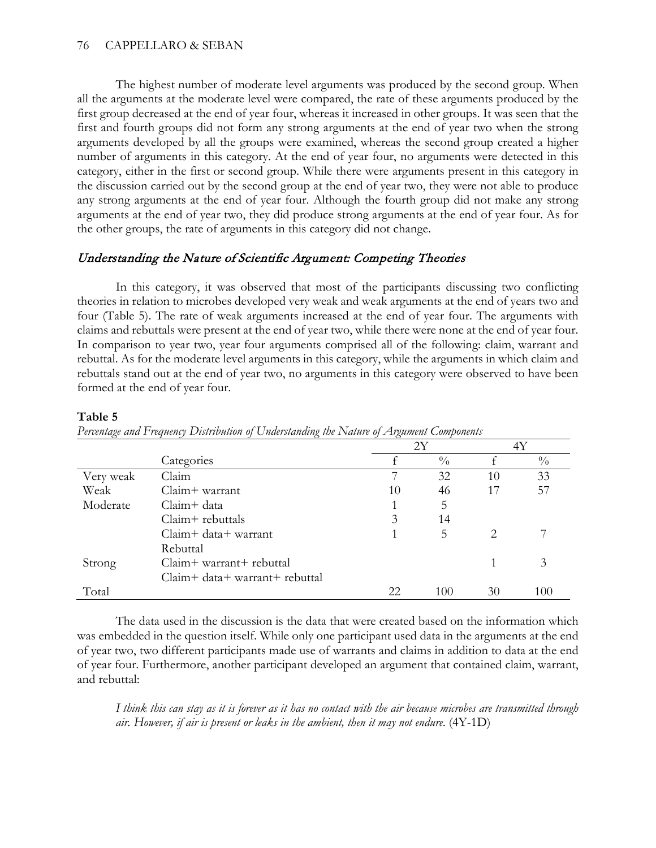The highest number of moderate level arguments was produced by the second group. When all the arguments at the moderate level were compared, the rate of these arguments produced by the first group decreased at the end of year four, whereas it increased in other groups. It was seen that the first and fourth groups did not form any strong arguments at the end of year two when the strong arguments developed by all the groups were examined, whereas the second group created a higher number of arguments in this category. At the end of year four, no arguments were detected in this category, either in the first or second group. While there were arguments present in this category in the discussion carried out by the second group at the end of year two, they were not able to produce any strong arguments at the end of year four. Although the fourth group did not make any strong arguments at the end of year two, they did produce strong arguments at the end of year four. As for the other groups, the rate of arguments in this category did not change.

## Understanding the Nature of Scientific Argument: Competing Theories

In this category, it was observed that most of the participants discussing two conflicting theories in relation to microbes developed very weak and weak arguments at the end of years two and four (Table 5). The rate of weak arguments increased at the end of year four. The arguments with claims and rebuttals were present at the end of year two, while there were none at the end of year four. In comparison to year two, year four arguments comprised all of the following: claim, warrant and rebuttal. As for the moderate level arguments in this category, while the arguments in which claim and rebuttals stand out at the end of year two, no arguments in this category were observed to have been formed at the end of year four.

## **Table 5**

|           |                                | 2Y |               |    | 4Y            |
|-----------|--------------------------------|----|---------------|----|---------------|
|           | Categories                     |    | $\frac{0}{0}$ |    | $\frac{0}{0}$ |
| Very weak | Claim                          |    | 32            | 10 | 33            |
| Weak      | $Claim + warrant$              | 10 | 46            | 17 | 57            |
| Moderate  | Claim+ data                    |    | 5             |    |               |
|           | Claim+ rebuttals               | 3  | 14            |    |               |
|           | $Claim + data + warrant$       |    | 5             |    |               |
|           | Rebuttal                       |    |               |    |               |
| Strong    | Claim+ warrant+ rebuttal       |    |               |    | 3             |
|           | Claim+ data+ warrant+ rebuttal |    |               |    |               |
| Total     |                                | 22 | 100           | 30 | 100           |

| Percentage and Frequency Distribution of Understanding the Nature of Argument Components |  |  |  |
|------------------------------------------------------------------------------------------|--|--|--|
|                                                                                          |  |  |  |

The data used in the discussion is the data that were created based on the information which was embedded in the question itself. While only one participant used data in the arguments at the end of year two, two different participants made use of warrants and claims in addition to data at the end of year four. Furthermore, another participant developed an argument that contained claim, warrant, and rebuttal:

*I think this can stay as it is forever as it has no contact with the air because microbes are transmitted through air. However, if air is present or leaks in the ambient, then it may not endure*. (4Y-1D)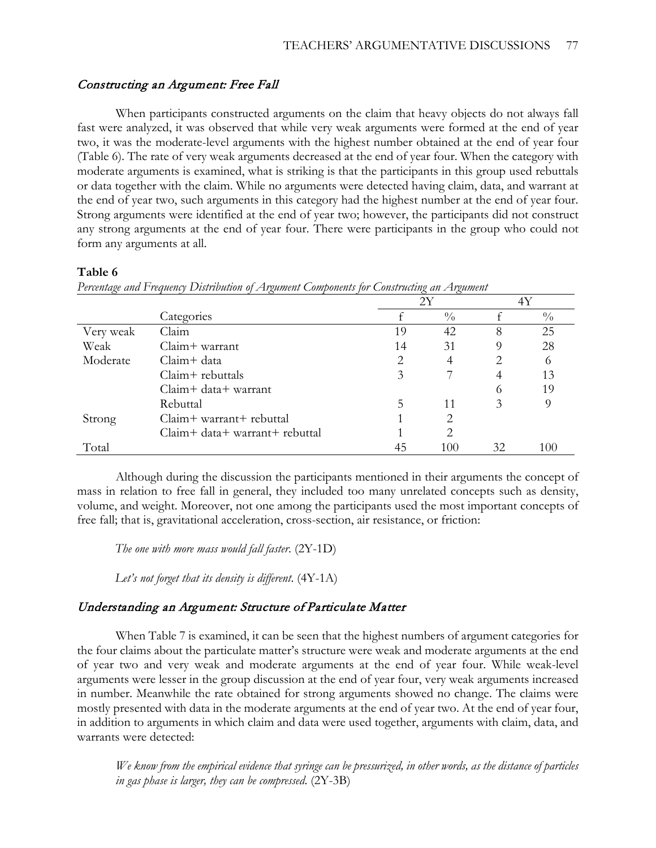## Constructing an Argument: Free Fall

When participants constructed arguments on the claim that heavy objects do not always fall fast were analyzed, it was observed that while very weak arguments were formed at the end of year two, it was the moderate-level arguments with the highest number obtained at the end of year four (Table 6). The rate of very weak arguments decreased at the end of year four. When the category with moderate arguments is examined, what is striking is that the participants in this group used rebuttals or data together with the claim. While no arguments were detected having claim, data, and warrant at the end of year two, such arguments in this category had the highest number at the end of year four. Strong arguments were identified at the end of year two; however, the participants did not construct any strong arguments at the end of year four. There were participants in the group who could not form any arguments at all.

### **Table 6**

|           |                                |    | 2Y            |    |               |
|-----------|--------------------------------|----|---------------|----|---------------|
|           | Categories                     |    | $\frac{0}{0}$ |    | $\frac{0}{0}$ |
| Very weak | Claim                          | 19 | 42            | 8  | 25            |
| Weak      | $Claim + warrant$              | 14 | 31            |    | 28            |
| Moderate  | $Claim + data$                 | 2  | 4             | 2  |               |
|           | Claim+ rebuttals               | 3  |               |    | 13            |
|           | $Claim + data + warrant$       |    |               | 6  | 19            |
|           | Rebuttal                       | 5  | 11            | 3  |               |
| Strong    | Claim+ warrant+ rebuttal       |    | 2             |    |               |
|           | Claim+ data+ warrant+ rebuttal |    | 2             |    |               |
| Total     |                                | 45 | 100           | 32 | 100           |

*Percentage and Frequency Distribution of Argument Components for Constructing an Argument*

Although during the discussion the participants mentioned in their arguments the concept of mass in relation to free fall in general, they included too many unrelated concepts such as density, volume, and weight. Moreover, not one among the participants used the most important concepts of free fall; that is, gravitational acceleration, cross-section, air resistance, or friction:

*The one with more mass would fall faster*. (2Y-1D)

*Let's not forget that its density is different*. (4Y-1A)

## Understanding an Argument: Structure of Particulate Matter

When Table 7 is examined, it can be seen that the highest numbers of argument categories for the four claims about the particulate matter's structure were weak and moderate arguments at the end of year two and very weak and moderate arguments at the end of year four. While weak-level arguments were lesser in the group discussion at the end of year four, very weak arguments increased in number. Meanwhile the rate obtained for strong arguments showed no change. The claims were mostly presented with data in the moderate arguments at the end of year two. At the end of year four, in addition to arguments in which claim and data were used together, arguments with claim, data, and warrants were detected:

*We know from the empirical evidence that syringe can be pressurized, in other words, as the distance of particles in gas phase is larger, they can be compressed*. (2Y-3B)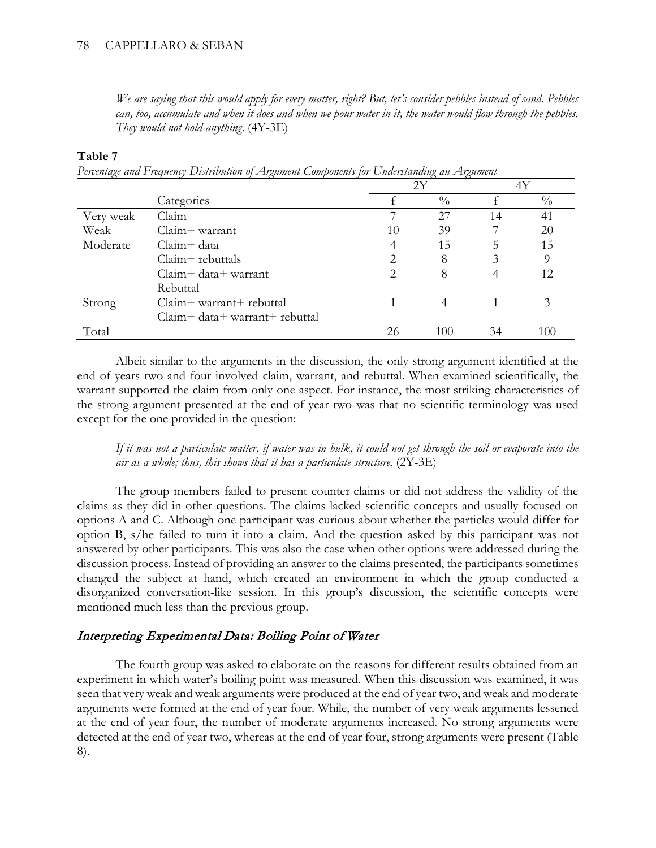### 78 CAPPELLARO & SEBAN

*We are saying that this would apply for every matter, right? But, let's consider pebbles instead of sand. Pebbles can, too, accumulate and when it does and when we pour water in it, the water would flow through the pebbles. They would not hold anything*. (4Y-3E)

### **Table 7**

| Percentage and Frequency Distribution of Argument Components for Understanding an Argument |  |  |  |  |
|--------------------------------------------------------------------------------------------|--|--|--|--|
|                                                                                            |  |  |  |  |

|           |                                | 2Υ |               | 4Y |               |
|-----------|--------------------------------|----|---------------|----|---------------|
|           | Categories                     |    | $\frac{0}{0}$ |    | $\frac{0}{0}$ |
| Very weak | Claim                          |    | 27            | 14 | 41            |
| Weak      | Claim+ warrant                 | 10 | 39            |    | 20            |
| Moderate  | $Claim + data$                 | 4  | 15            | 5  | 15            |
|           | $Claim + \text{rebuttals}$     | 2  | 8             | 3  | 9             |
|           | Claim+ data+ warrant           | 2  | 8             |    | 12            |
|           | Rebuttal                       |    |               |    |               |
| Strong    | Claim+ warrant+ rebuttal       |    |               |    | 3             |
|           | Claim+ data+ warrant+ rebuttal |    |               |    |               |
| Total     |                                | 26 | 100           | 34 | 100           |

Albeit similar to the arguments in the discussion, the only strong argument identified at the end of years two and four involved claim, warrant, and rebuttal. When examined scientifically, the warrant supported the claim from only one aspect. For instance, the most striking characteristics of the strong argument presented at the end of year two was that no scientific terminology was used except for the one provided in the question:

*If it was not a particulate matter, if water was in bulk, it could not get through the soil or evaporate into the air as a whole; thus, this shows that it has a particulate structure.* (2Y-3E)

The group members failed to present counter-claims or did not address the validity of the claims as they did in other questions. The claims lacked scientific concepts and usually focused on options A and C. Although one participant was curious about whether the particles would differ for option B, s/he failed to turn it into a claim. And the question asked by this participant was not answered by other participants. This was also the case when other options were addressed during the discussion process. Instead of providing an answer to the claims presented, the participants sometimes changed the subject at hand, which created an environment in which the group conducted a disorganized conversation-like session. In this group's discussion, the scientific concepts were mentioned much less than the previous group.

## Interpreting Experimental Data: Boiling Point of Water

The fourth group was asked to elaborate on the reasons for different results obtained from an experiment in which water's boiling point was measured. When this discussion was examined, it was seen that very weak and weak arguments were produced at the end of year two, and weak and moderate arguments were formed at the end of year four. While, the number of very weak arguments lessened at the end of year four, the number of moderate arguments increased. No strong arguments were detected at the end of year two, whereas at the end of year four, strong arguments were present (Table 8).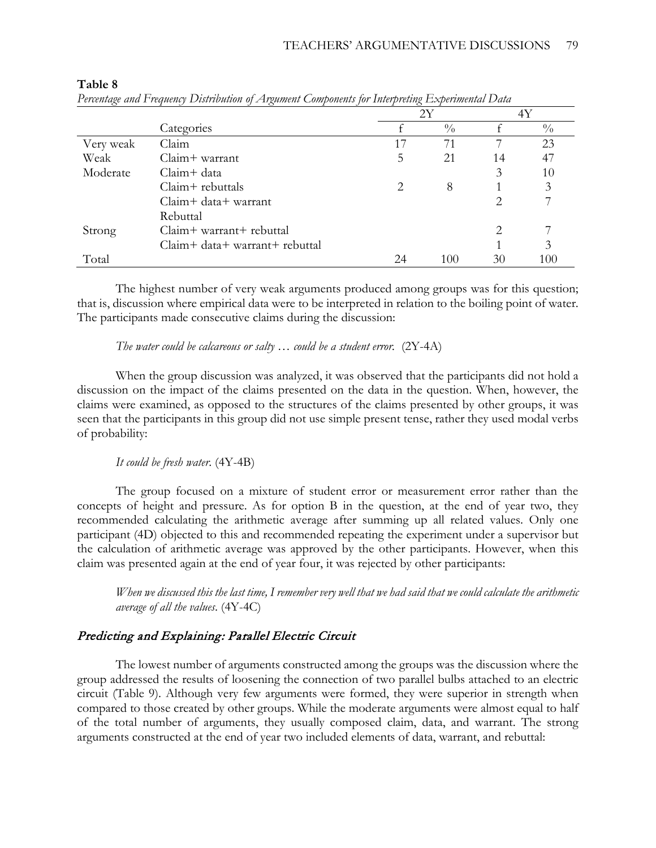|           |                                |                       | 2Y            |                       | 4Y            |
|-----------|--------------------------------|-----------------------|---------------|-----------------------|---------------|
|           | Categories                     |                       | $\frac{0}{0}$ |                       | $\frac{0}{0}$ |
| Very weak | Claim                          | 17                    | 71            |                       | 23            |
| Weak      | Claim+ warrant                 | 5                     | 21            | 14                    | 47            |
| Moderate  | Claim+ data                    |                       |               | 3                     | 10            |
|           | Claim+ rebuttals               | $\mathcal{D}_{\cdot}$ | 8             |                       | 3             |
|           | Claim+ data+ warrant           |                       |               | $\mathcal{D}_{\cdot}$ |               |
|           | Rebuttal                       |                       |               |                       |               |
| Strong    | Claim+ warrant+ rebuttal       |                       |               | 2                     |               |
|           | Claim+ data+ warrant+ rebuttal |                       |               |                       | 3             |
| Total     |                                | 24                    | 100           | 30                    | 100           |

#### **Table 8**

|  |  |  | Percentage and Frequency Distribution of Argument Components for Interpreting Experimental Data |
|--|--|--|-------------------------------------------------------------------------------------------------|
|  |  |  |                                                                                                 |

The highest number of very weak arguments produced among groups was for this question; that is, discussion where empirical data were to be interpreted in relation to the boiling point of water. The participants made consecutive claims during the discussion:

### *The water could be calcareous or salty* … *could be a student error.* (2Y-4A)

When the group discussion was analyzed, it was observed that the participants did not hold a discussion on the impact of the claims presented on the data in the question. When, however, the claims were examined, as opposed to the structures of the claims presented by other groups, it was seen that the participants in this group did not use simple present tense, rather they used modal verbs of probability:

### *It could be fresh water*. (4Y-4B)

The group focused on a mixture of student error or measurement error rather than the concepts of height and pressure. As for option B in the question, at the end of year two, they recommended calculating the arithmetic average after summing up all related values. Only one participant (4D) objected to this and recommended repeating the experiment under a supervisor but the calculation of arithmetic average was approved by the other participants. However, when this claim was presented again at the end of year four, it was rejected by other participants:

*When we discussed this the last time, I remember very well that we had said that we could calculate the arithmetic average of all the values*. (4Y-4C)

## Predicting and Explaining: Parallel Electric Circuit

The lowest number of arguments constructed among the groups was the discussion where the group addressed the results of loosening the connection of two parallel bulbs attached to an electric circuit (Table 9). Although very few arguments were formed, they were superior in strength when compared to those created by other groups. While the moderate arguments were almost equal to half of the total number of arguments, they usually composed claim, data, and warrant. The strong arguments constructed at the end of year two included elements of data, warrant, and rebuttal: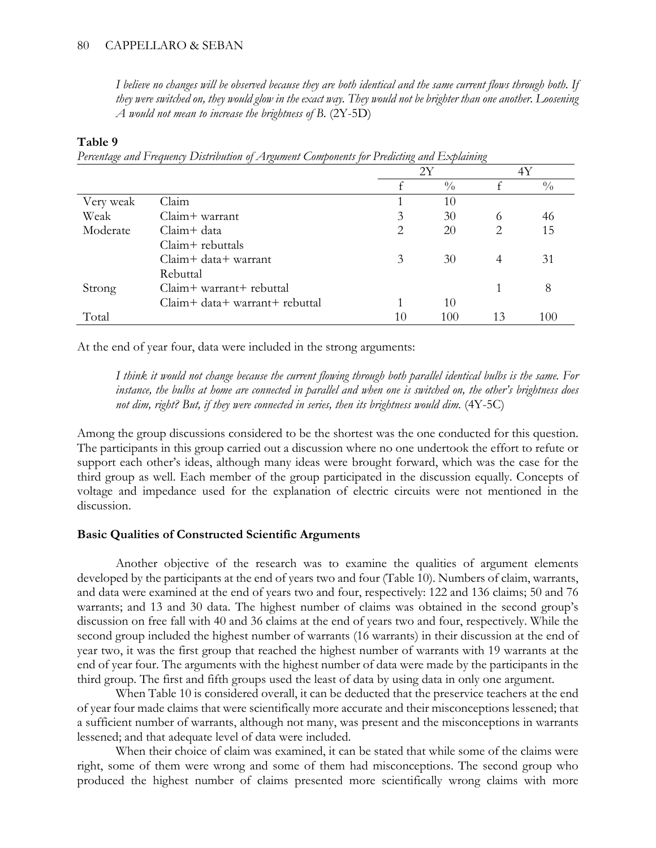*I believe no changes will be observed because they are both identical and the same current flows through both. If they were switched on, they would glow in the exact way. They would not be brighter than one another. Loosening A would not mean to increase the brightness of B*. (2Y-5D)

### **Table 9**

*Percentage and Frequency Distribution of Argument Components for Predicting and Explaining*

|           |                                | 2Y |               | 4Y                          |               |
|-----------|--------------------------------|----|---------------|-----------------------------|---------------|
|           |                                |    | $\frac{0}{0}$ |                             | $\frac{0}{0}$ |
| Very weak | Claim                          |    | 10            |                             |               |
| Weak      | Claim+ warrant                 | 3  | 30            | 6                           | 46            |
| Moderate  | Claim+ data                    | 2  | 20            | $\mathcal{D}_{\mathcal{L}}$ | 15            |
|           | $Claim + \text{rebuttals}$     |    |               |                             |               |
|           | $Claim + data + warrant$       | 3  | 30            | 4                           | 31            |
|           | Rebuttal                       |    |               |                             |               |
| Strong    | Claim+ warrant+ rebuttal       |    |               |                             | 8             |
|           | Claim+ data+ warrant+ rebuttal |    | 10            |                             |               |
| Total     |                                | 10 | 100           | 13                          | 100           |

At the end of year four, data were included in the strong arguments:

*I think it would not change because the current flowing through both parallel identical bulbs is the same. For instance, the bulbs at home are connected in parallel and when one is switched on, the other's brightness does not dim, right? But, if they were connected in series, then its brightness would dim.* (4Y-5C)

Among the group discussions considered to be the shortest was the one conducted for this question. The participants in this group carried out a discussion where no one undertook the effort to refute or support each other's ideas, although many ideas were brought forward, which was the case for the third group as well. Each member of the group participated in the discussion equally. Concepts of voltage and impedance used for the explanation of electric circuits were not mentioned in the discussion.

### **Basic Qualities of Constructed Scientific Arguments**

Another objective of the research was to examine the qualities of argument elements developed by the participants at the end of years two and four (Table 10). Numbers of claim, warrants, and data were examined at the end of years two and four, respectively: 122 and 136 claims; 50 and 76 warrants; and 13 and 30 data. The highest number of claims was obtained in the second group's discussion on free fall with 40 and 36 claims at the end of years two and four, respectively. While the second group included the highest number of warrants (16 warrants) in their discussion at the end of year two, it was the first group that reached the highest number of warrants with 19 warrants at the end of year four. The arguments with the highest number of data were made by the participants in the third group. The first and fifth groups used the least of data by using data in only one argument.

When Table 10 is considered overall, it can be deducted that the preservice teachers at the end of year four made claims that were scientifically more accurate and their misconceptions lessened; that a sufficient number of warrants, although not many, was present and the misconceptions in warrants lessened; and that adequate level of data were included.

When their choice of claim was examined, it can be stated that while some of the claims were right, some of them were wrong and some of them had misconceptions. The second group who produced the highest number of claims presented more scientifically wrong claims with more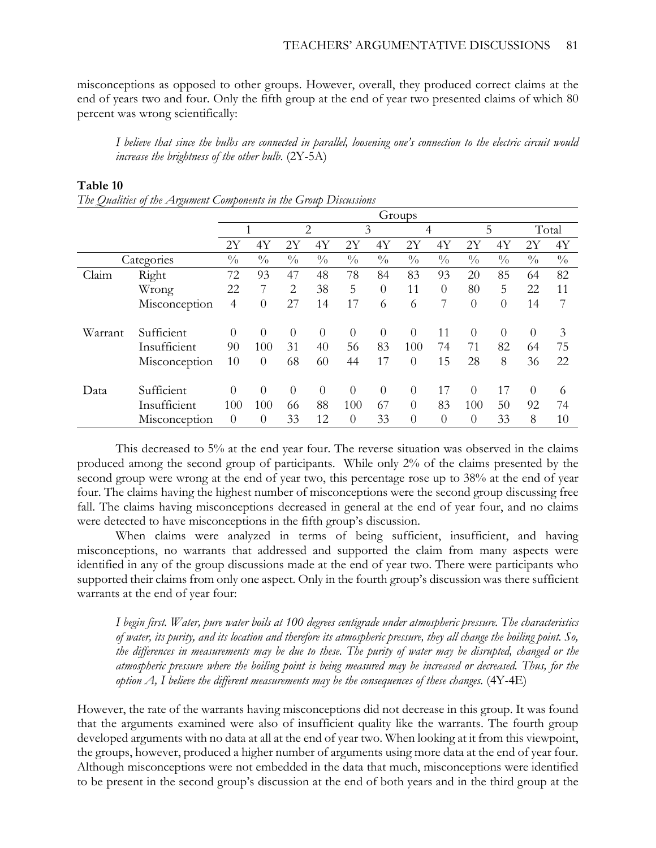misconceptions as opposed to other groups. However, overall, they produced correct claims at the end of years two and four. Only the fifth group at the end of year two presented claims of which 80 percent was wrong scientifically:

*I believe that since the bulbs are connected in parallel, loosening one's connection to the electric circuit would increase the brightness of the other bulb*. (2Y-5A)

|            |               | Groups         |               |                |                |                |               |                |               |                |               |                |               |
|------------|---------------|----------------|---------------|----------------|----------------|----------------|---------------|----------------|---------------|----------------|---------------|----------------|---------------|
|            |               |                |               | $\overline{2}$ |                | 3              |               | 4              |               | 5              |               | Total          |               |
|            |               | 2Y             | 4Y            | 2Υ             | 4Y             | 2Υ             | 4Y            | 2Y             | 4Y            | 2Υ             | 4Y            | 2Υ             | 4Y            |
| Categories |               | $\frac{0}{0}$  | $\frac{0}{0}$ | $\frac{0}{0}$  | $\frac{0}{0}$  | $\frac{0}{0}$  | $\frac{0}{0}$ | $\frac{0}{0}$  | $\frac{0}{0}$ | $\frac{0}{0}$  | $\frac{0}{0}$ | $\frac{0}{0}$  | $\frac{0}{0}$ |
| Claim      | Right         | 72             | 93            | 47             | 48             | 78             | 84            | 83             | 93            | 20             | 85            | 64             | 82            |
|            | Wrong         | 22             | 7             | $\overline{2}$ | 38             | 5              | $\theta$      | 11             | $\Omega$      | 80             | 5             | 22             | 11            |
|            | Misconception | 4              | $\theta$      | 27             | 14             | 17             | 6             | 6              | 7             | $\theta$       | $\theta$      | 14             | 7             |
| Warrant    | Sufficient    | $\theta$       | $\theta$      | $\Omega$       | $\overline{0}$ | $\overline{0}$ | $\theta$      | $\Omega$       | 11            | $\overline{0}$ | $\Omega$      | $\overline{0}$ | 3             |
|            | Insufficient  | 90             | 100           | 31             | 40             | 56             | 83            | 100            | 74            | 71             | 82            | 64             | 75            |
|            | Misconception | 10             | $\theta$      | 68             | 60             | 44             | 17            | $\theta$       | 15            | 28             | 8             | 36             | 22            |
| Data       | Sufficient    | $\Omega$       | $\theta$      | $\theta$       | $\Omega$       | $\Omega$       | $\theta$      | $\theta$       | 17            | $\theta$       | 17            | $\theta$       | 6             |
|            | Insufficient  | 100            | 100           | 66             | 88             | 100            | 67            | $\theta$       | 83            | 100            | 50            | 92             | 74            |
|            | Misconception | $\overline{0}$ | $\theta$      | 33             | 12             | $\theta$       | 33            | $\overline{0}$ | $\theta$      | $\theta$       | 33            | 8              | 10            |

#### **Table 10**

This decreased to 5% at the end year four. The reverse situation was observed in the claims produced among the second group of participants. While only 2% of the claims presented by the second group were wrong at the end of year two, this percentage rose up to 38% at the end of year four. The claims having the highest number of misconceptions were the second group discussing free fall. The claims having misconceptions decreased in general at the end of year four, and no claims were detected to have misconceptions in the fifth group's discussion.

When claims were analyzed in terms of being sufficient, insufficient, and having misconceptions, no warrants that addressed and supported the claim from many aspects were identified in any of the group discussions made at the end of year two. There were participants who supported their claims from only one aspect. Only in the fourth group's discussion was there sufficient warrants at the end of year four:

*I begin first. Water, pure water boils at 100 degrees centigrade under atmospheric pressure. The characteristics of water, its purity, and its location and therefore its atmospheric pressure, they all change the boiling point. So, the differences in measurements may be due to these. The purity of water may be disrupted, changed or the atmospheric pressure where the boiling point is being measured may be increased or decreased. Thus, for the option A, I believe the different measurements may be the consequences of these changes.* (4Y-4E)

However, the rate of the warrants having misconceptions did not decrease in this group. It was found that the arguments examined were also of insufficient quality like the warrants. The fourth group developed arguments with no data at all at the end of year two. When looking at it from this viewpoint, the groups, however, produced a higher number of arguments using more data at the end of year four. Although misconceptions were not embedded in the data that much, misconceptions were identified to be present in the second group's discussion at the end of both years and in the third group at the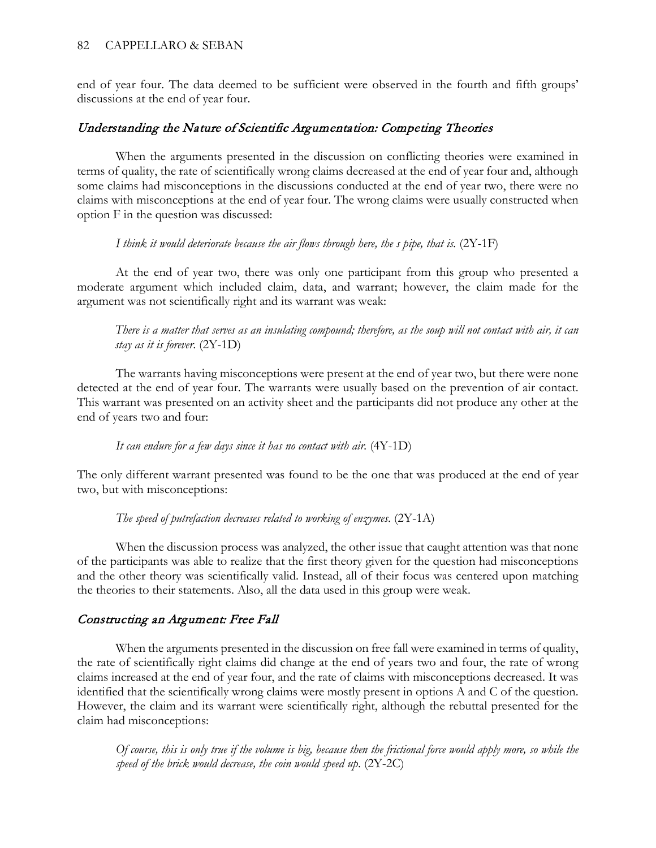end of year four. The data deemed to be sufficient were observed in the fourth and fifth groups' discussions at the end of year four.

## Understanding the Nature of Scientific Argumentation: Competing Theories

When the arguments presented in the discussion on conflicting theories were examined in terms of quality, the rate of scientifically wrong claims decreased at the end of year four and, although some claims had misconceptions in the discussions conducted at the end of year two, there were no claims with misconceptions at the end of year four. The wrong claims were usually constructed when option F in the question was discussed:

## *I think it would deteriorate because the air flows through here, the s pipe, that is.* (2Y-1F)

At the end of year two, there was only one participant from this group who presented a moderate argument which included claim, data, and warrant; however, the claim made for the argument was not scientifically right and its warrant was weak:

*There is a matter that serves as an insulating compound; therefore, as the soup will not contact with air, it can stay as it is forever*. (2Y-1D)

The warrants having misconceptions were present at the end of year two, but there were none detected at the end of year four. The warrants were usually based on the prevention of air contact. This warrant was presented on an activity sheet and the participants did not produce any other at the end of years two and four:

*It can endure for a few days since it has no contact with air.* (4Y-1D)

The only different warrant presented was found to be the one that was produced at the end of year two, but with misconceptions:

*The speed of putrefaction decreases related to working of enzymes*. (2Y-1A)

When the discussion process was analyzed, the other issue that caught attention was that none of the participants was able to realize that the first theory given for the question had misconceptions and the other theory was scientifically valid. Instead, all of their focus was centered upon matching the theories to their statements. Also, all the data used in this group were weak.

## Constructing an Argument: Free Fall

When the arguments presented in the discussion on free fall were examined in terms of quality, the rate of scientifically right claims did change at the end of years two and four, the rate of wrong claims increased at the end of year four, and the rate of claims with misconceptions decreased. It was identified that the scientifically wrong claims were mostly present in options A and C of the question. However, the claim and its warrant were scientifically right, although the rebuttal presented for the claim had misconceptions:

*Of course, this is only true if the volume is big, because then the frictional force would apply more, so while the speed of the brick would decrease, the coin would speed up*. (2Y-2C)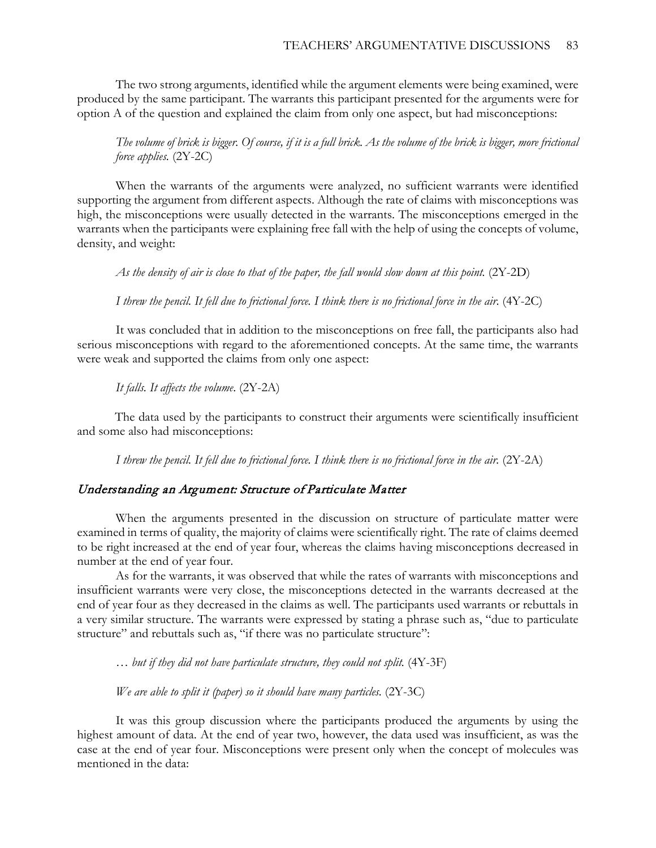The two strong arguments, identified while the argument elements were being examined, were produced by the same participant. The warrants this participant presented for the arguments were for option A of the question and explained the claim from only one aspect, but had misconceptions:

*The volume of brick is bigger. Of course, if it is a full brick. As the volume of the brick is bigger, more frictional force applies.* (2Y-2C)

When the warrants of the arguments were analyzed, no sufficient warrants were identified supporting the argument from different aspects. Although the rate of claims with misconceptions was high, the misconceptions were usually detected in the warrants. The misconceptions emerged in the warrants when the participants were explaining free fall with the help of using the concepts of volume, density, and weight:

*As the density of air is close to that of the paper, the fall would slow down at this point.* (2Y-2D)

*I threw the pencil. It fell due to frictional force. I think there is no frictional force in the air*. (4Y-2C)

It was concluded that in addition to the misconceptions on free fall, the participants also had serious misconceptions with regard to the aforementioned concepts. At the same time, the warrants were weak and supported the claims from only one aspect:

*It falls. It affects the volume*. (2Y-2A)

The data used by the participants to construct their arguments were scientifically insufficient and some also had misconceptions:

*I threw the pencil. It fell due to frictional force. I think there is no frictional force in the air.* (2Y-2A)

### Understanding an Argument: Structure of Particulate Matter

When the arguments presented in the discussion on structure of particulate matter were examined in terms of quality, the majority of claims were scientifically right. The rate of claims deemed to be right increased at the end of year four, whereas the claims having misconceptions decreased in number at the end of year four.

As for the warrants, it was observed that while the rates of warrants with misconceptions and insufficient warrants were very close, the misconceptions detected in the warrants decreased at the end of year four as they decreased in the claims as well. The participants used warrants or rebuttals in a very similar structure. The warrants were expressed by stating a phrase such as, "due to particulate structure" and rebuttals such as, "if there was no particulate structure":

*… but if they did not have particulate structure, they could not split.* (4Y-3F)

*We are able to split it (paper) so it should have many particles.* (2Y-3C)

It was this group discussion where the participants produced the arguments by using the highest amount of data. At the end of year two, however, the data used was insufficient, as was the case at the end of year four. Misconceptions were present only when the concept of molecules was mentioned in the data: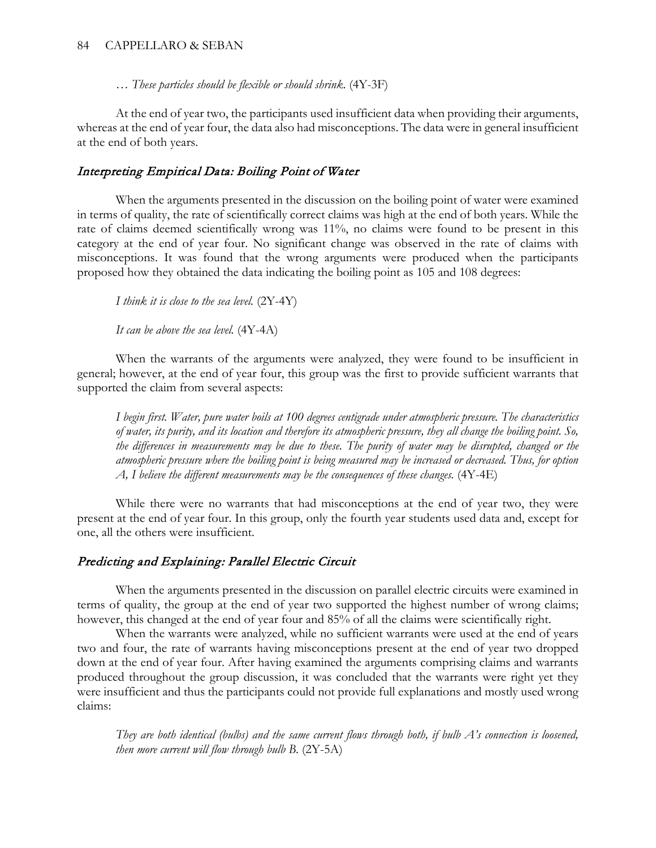… *These particles should be flexible or should shrink*. (4Y-3F)

At the end of year two, the participants used insufficient data when providing their arguments, whereas at the end of year four, the data also had misconceptions. The data were in general insufficient at the end of both years.

## Interpreting Empirical Data: Boiling Point of Water

When the arguments presented in the discussion on the boiling point of water were examined in terms of quality, the rate of scientifically correct claims was high at the end of both years. While the rate of claims deemed scientifically wrong was 11%, no claims were found to be present in this category at the end of year four. No significant change was observed in the rate of claims with misconceptions. It was found that the wrong arguments were produced when the participants proposed how they obtained the data indicating the boiling point as 105 and 108 degrees:

*I think it is close to the sea level.* (2Y-4Y)

*It can be above the sea level.* (4Y-4A)

When the warrants of the arguments were analyzed, they were found to be insufficient in general; however, at the end of year four, this group was the first to provide sufficient warrants that supported the claim from several aspects:

*I begin first. Water, pure water boils at 100 degrees centigrade under atmospheric pressure. The characteristics of water, its purity, and its location and therefore its atmospheric pressure, they all change the boiling point. So, the differences in measurements may be due to these. The purity of water may be disrupted, changed or the atmospheric pressure where the boiling point is being measured may be increased or decreased. Thus, for option A, I believe the different measurements may be the consequences of these changes.* (4Y-4E)

While there were no warrants that had misconceptions at the end of year two, they were present at the end of year four. In this group, only the fourth year students used data and, except for one, all the others were insufficient.

## Predicting and Explaining: Parallel Electric Circuit

When the arguments presented in the discussion on parallel electric circuits were examined in terms of quality, the group at the end of year two supported the highest number of wrong claims; however, this changed at the end of year four and 85% of all the claims were scientifically right.

When the warrants were analyzed, while no sufficient warrants were used at the end of years two and four, the rate of warrants having misconceptions present at the end of year two dropped down at the end of year four. After having examined the arguments comprising claims and warrants produced throughout the group discussion, it was concluded that the warrants were right yet they were insufficient and thus the participants could not provide full explanations and mostly used wrong claims:

*They are both identical (bulbs) and the same current flows through both, if bulb A's connection is loosened, then more current will flow through bulb B*. (2Y-5A)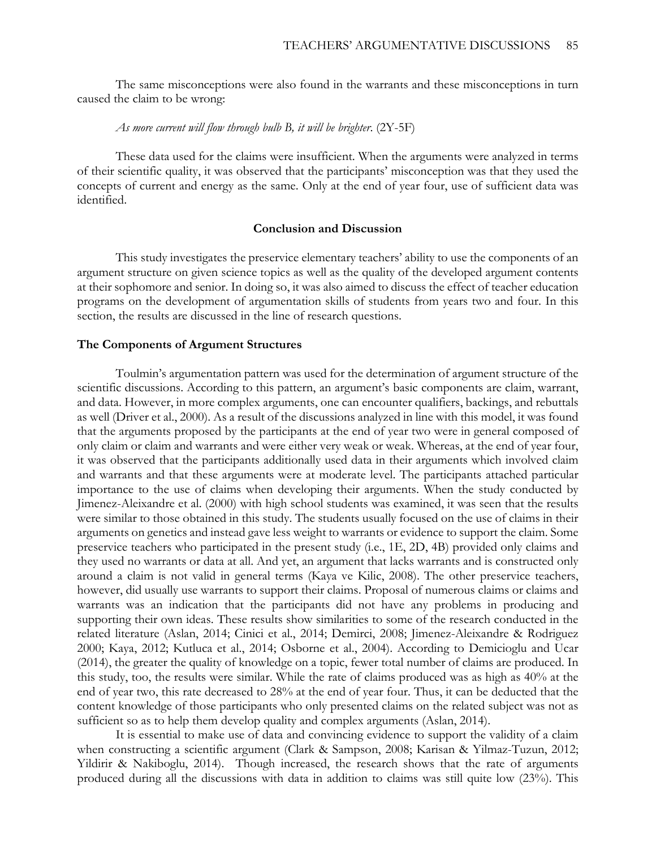The same misconceptions were also found in the warrants and these misconceptions in turn caused the claim to be wrong:

#### *As more current will flow through bulb B, it will be brighter*. (2Y-5F)

These data used for the claims were insufficient. When the arguments were analyzed in terms of their scientific quality, it was observed that the participants' misconception was that they used the concepts of current and energy as the same. Only at the end of year four, use of sufficient data was identified.

#### **Conclusion and Discussion**

This study investigates the preservice elementary teachers' ability to use the components of an argument structure on given science topics as well as the quality of the developed argument contents at their sophomore and senior. In doing so, it was also aimed to discuss the effect of teacher education programs on the development of argumentation skills of students from years two and four. In this section, the results are discussed in the line of research questions.

#### **The Components of Argument Structures**

Toulmin's argumentation pattern was used for the determination of argument structure of the scientific discussions. According to this pattern, an argument's basic components are claim, warrant, and data. However, in more complex arguments, one can encounter qualifiers, backings, and rebuttals as well (Driver et al., 2000). As a result of the discussions analyzed in line with this model, it was found that the arguments proposed by the participants at the end of year two were in general composed of only claim or claim and warrants and were either very weak or weak. Whereas, at the end of year four, it was observed that the participants additionally used data in their arguments which involved claim and warrants and that these arguments were at moderate level. The participants attached particular importance to the use of claims when developing their arguments. When the study conducted by Jimenez-Aleixandre et al. (2000) with high school students was examined, it was seen that the results were similar to those obtained in this study. The students usually focused on the use of claims in their arguments on genetics and instead gave less weight to warrants or evidence to support the claim. Some preservice teachers who participated in the present study (i.e., 1E, 2D, 4B) provided only claims and they used no warrants or data at all. And yet, an argument that lacks warrants and is constructed only around a claim is not valid in general terms (Kaya ve Kilic, 2008). The other preservice teachers, however, did usually use warrants to support their claims. Proposal of numerous claims or claims and warrants was an indication that the participants did not have any problems in producing and supporting their own ideas. These results show similarities to some of the research conducted in the related literature (Aslan, 2014; Cinici et al., 2014; Demirci, 2008; Jimenez-Aleixandre & Rodriguez 2000; Kaya, 2012; Kutluca et al., 2014; Osborne et al., 2004). According to Demicioglu and Ucar (2014), the greater the quality of knowledge on a topic, fewer total number of claims are produced. In this study, too, the results were similar. While the rate of claims produced was as high as 40% at the end of year two, this rate decreased to 28% at the end of year four. Thus, it can be deducted that the content knowledge of those participants who only presented claims on the related subject was not as sufficient so as to help them develop quality and complex arguments (Aslan, 2014).

It is essential to make use of data and convincing evidence to support the validity of a claim when constructing a scientific argument (Clark & Sampson, 2008; Karisan & Yilmaz-Tuzun, 2012; Yildirir & Nakiboglu, 2014). Though increased, the research shows that the rate of arguments produced during all the discussions with data in addition to claims was still quite low (23%). This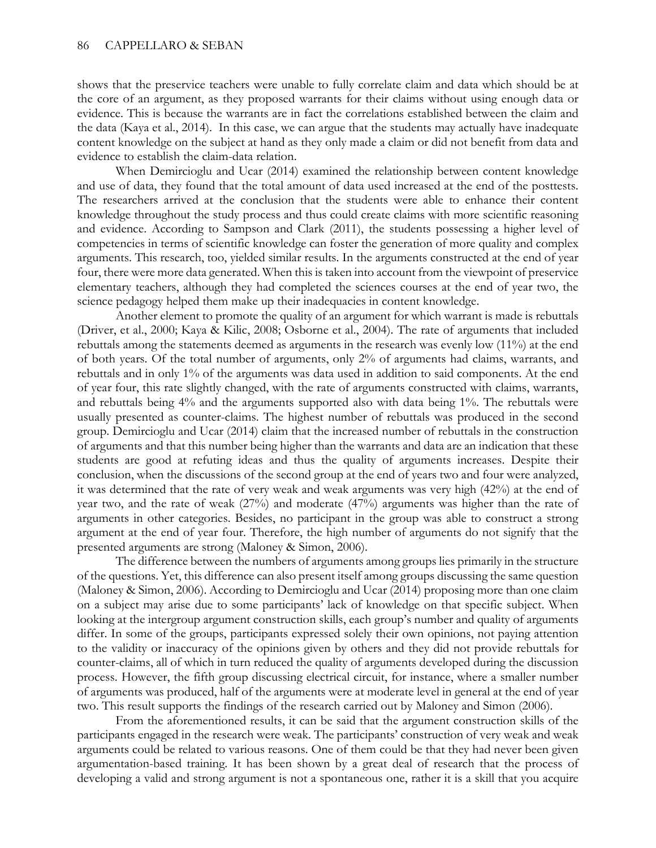shows that the preservice teachers were unable to fully correlate claim and data which should be at the core of an argument, as they proposed warrants for their claims without using enough data or evidence. This is because the warrants are in fact the correlations established between the claim and the data (Kaya et al., 2014). In this case, we can argue that the students may actually have inadequate content knowledge on the subject at hand as they only made a claim or did not benefit from data and evidence to establish the claim-data relation.

When Demircioglu and Ucar (2014) examined the relationship between content knowledge and use of data, they found that the total amount of data used increased at the end of the posttests. The researchers arrived at the conclusion that the students were able to enhance their content knowledge throughout the study process and thus could create claims with more scientific reasoning and evidence. According to Sampson and Clark (2011), the students possessing a higher level of competencies in terms of scientific knowledge can foster the generation of more quality and complex arguments. This research, too, yielded similar results. In the arguments constructed at the end of year four, there were more data generated. When this is taken into account from the viewpoint of preservice elementary teachers, although they had completed the sciences courses at the end of year two, the science pedagogy helped them make up their inadequacies in content knowledge.

Another element to promote the quality of an argument for which warrant is made is rebuttals (Driver, et al., 2000; Kaya & Kilic, 2008; Osborne et al., 2004). The rate of arguments that included rebuttals among the statements deemed as arguments in the research was evenly low (11%) at the end of both years. Of the total number of arguments, only 2% of arguments had claims, warrants, and rebuttals and in only 1% of the arguments was data used in addition to said components. At the end of year four, this rate slightly changed, with the rate of arguments constructed with claims, warrants, and rebuttals being 4% and the arguments supported also with data being 1%. The rebuttals were usually presented as counter-claims. The highest number of rebuttals was produced in the second group. Demircioglu and Ucar (2014) claim that the increased number of rebuttals in the construction of arguments and that this number being higher than the warrants and data are an indication that these students are good at refuting ideas and thus the quality of arguments increases. Despite their conclusion, when the discussions of the second group at the end of years two and four were analyzed, it was determined that the rate of very weak and weak arguments was very high (42%) at the end of year two, and the rate of weak (27%) and moderate (47%) arguments was higher than the rate of arguments in other categories. Besides, no participant in the group was able to construct a strong argument at the end of year four. Therefore, the high number of arguments do not signify that the presented arguments are strong (Maloney & Simon, 2006).

The difference between the numbers of arguments among groups lies primarily in the structure of the questions. Yet, this difference can also present itself among groups discussing the same question (Maloney & Simon, 2006). According to Demircioglu and Ucar (2014) proposing more than one claim on a subject may arise due to some participants' lack of knowledge on that specific subject. When looking at the intergroup argument construction skills, each group's number and quality of arguments differ. In some of the groups, participants expressed solely their own opinions, not paying attention to the validity or inaccuracy of the opinions given by others and they did not provide rebuttals for counter-claims, all of which in turn reduced the quality of arguments developed during the discussion process. However, the fifth group discussing electrical circuit, for instance, where a smaller number of arguments was produced, half of the arguments were at moderate level in general at the end of year two. This result supports the findings of the research carried out by Maloney and Simon (2006).

From the aforementioned results, it can be said that the argument construction skills of the participants engaged in the research were weak. The participants' construction of very weak and weak arguments could be related to various reasons. One of them could be that they had never been given argumentation-based training. It has been shown by a great deal of research that the process of developing a valid and strong argument is not a spontaneous one, rather it is a skill that you acquire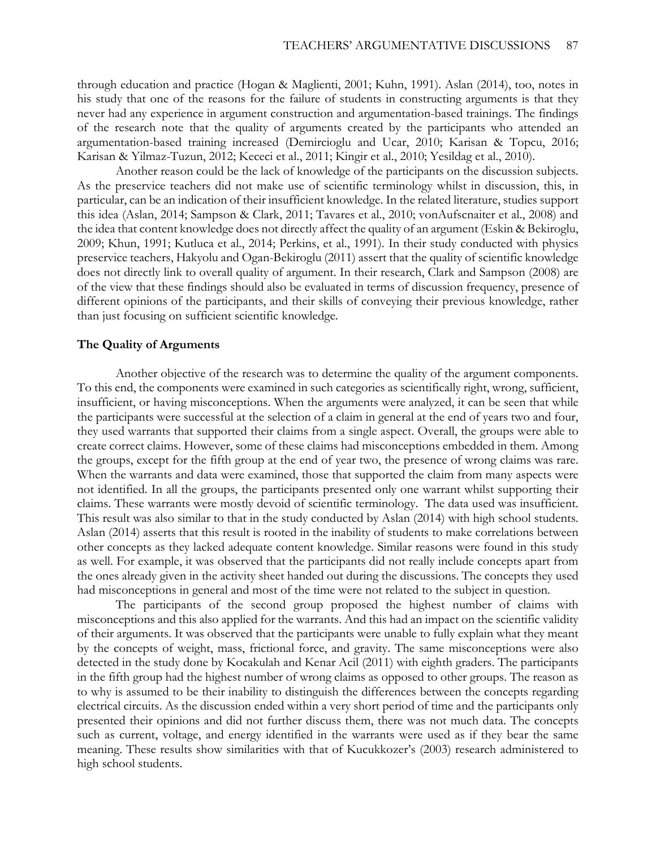through education and practice (Hogan & Maglienti, 2001; Kuhn, 1991). Aslan (2014), too, notes in his study that one of the reasons for the failure of students in constructing arguments is that they never had any experience in argument construction and argumentation-based trainings. The findings of the research note that the quality of arguments created by the participants who attended an argumentation-based training increased (Demircioglu and Ucar, 2010; Karisan & Topcu, 2016; Karisan & Yilmaz-Tuzun, 2012; Kececi et al., 2011; Kingir et al., 2010; Yesildag et al., 2010).

Another reason could be the lack of knowledge of the participants on the discussion subjects. As the preservice teachers did not make use of scientific terminology whilst in discussion, this, in particular, can be an indication of their insufficient knowledge. In the related literature, studies support this idea (Aslan, 2014; Sampson & Clark, 2011; Tavares et al., 2010; vonAufscnaiter et al., 2008) and the idea that content knowledge does not directly affect the quality of an argument (Eskin & Bekiroglu, 2009; Khun, 1991; Kutluca et al., 2014; Perkins, et al., 1991). In their study conducted with physics preservice teachers, Hakyolu and Ogan-Bekiroglu (2011) assert that the quality of scientific knowledge does not directly link to overall quality of argument. In their research, Clark and Sampson (2008) are of the view that these findings should also be evaluated in terms of discussion frequency, presence of different opinions of the participants, and their skills of conveying their previous knowledge, rather than just focusing on sufficient scientific knowledge.

#### **The Quality of Arguments**

Another objective of the research was to determine the quality of the argument components. To this end, the components were examined in such categories as scientifically right, wrong, sufficient, insufficient, or having misconceptions. When the arguments were analyzed, it can be seen that while the participants were successful at the selection of a claim in general at the end of years two and four, they used warrants that supported their claims from a single aspect. Overall, the groups were able to create correct claims. However, some of these claims had misconceptions embedded in them. Among the groups, except for the fifth group at the end of year two, the presence of wrong claims was rare. When the warrants and data were examined, those that supported the claim from many aspects were not identified. In all the groups, the participants presented only one warrant whilst supporting their claims. These warrants were mostly devoid of scientific terminology. The data used was insufficient. This result was also similar to that in the study conducted by Aslan (2014) with high school students. Aslan (2014) asserts that this result is rooted in the inability of students to make correlations between other concepts as they lacked adequate content knowledge. Similar reasons were found in this study as well. For example, it was observed that the participants did not really include concepts apart from the ones already given in the activity sheet handed out during the discussions. The concepts they used had misconceptions in general and most of the time were not related to the subject in question.

The participants of the second group proposed the highest number of claims with misconceptions and this also applied for the warrants. And this had an impact on the scientific validity of their arguments. It was observed that the participants were unable to fully explain what they meant by the concepts of weight, mass, frictional force, and gravity. The same misconceptions were also detected in the study done by Kocakulah and Kenar Acil (2011) with eighth graders. The participants in the fifth group had the highest number of wrong claims as opposed to other groups. The reason as to why is assumed to be their inability to distinguish the differences between the concepts regarding electrical circuits. As the discussion ended within a very short period of time and the participants only presented their opinions and did not further discuss them, there was not much data. The concepts such as current, voltage, and energy identified in the warrants were used as if they bear the same meaning. These results show similarities with that of Kucukkozer's (2003) research administered to high school students.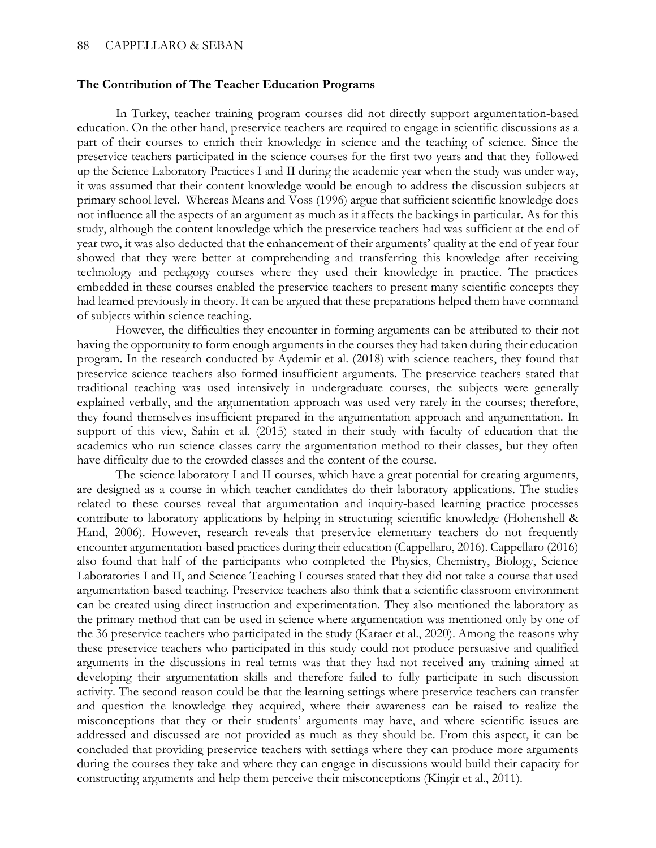#### **The Contribution of The Teacher Education Programs**

In Turkey, teacher training program courses did not directly support argumentation-based education. On the other hand, preservice teachers are required to engage in scientific discussions as a part of their courses to enrich their knowledge in science and the teaching of science. Since the preservice teachers participated in the science courses for the first two years and that they followed up the Science Laboratory Practices I and II during the academic year when the study was under way, it was assumed that their content knowledge would be enough to address the discussion subjects at primary school level. Whereas Means and Voss (1996) argue that sufficient scientific knowledge does not influence all the aspects of an argument as much as it affects the backings in particular. As for this study, although the content knowledge which the preservice teachers had was sufficient at the end of year two, it was also deducted that the enhancement of their arguments' quality at the end of year four showed that they were better at comprehending and transferring this knowledge after receiving technology and pedagogy courses where they used their knowledge in practice. The practices embedded in these courses enabled the preservice teachers to present many scientific concepts they had learned previously in theory. It can be argued that these preparations helped them have command of subjects within science teaching.

However, the difficulties they encounter in forming arguments can be attributed to their not having the opportunity to form enough arguments in the courses they had taken during their education program. In the research conducted by Aydemir et al. (2018) with science teachers, they found that preservice science teachers also formed insufficient arguments. The preservice teachers stated that traditional teaching was used intensively in undergraduate courses, the subjects were generally explained verbally, and the argumentation approach was used very rarely in the courses; therefore, they found themselves insufficient prepared in the argumentation approach and argumentation. In support of this view, Sahin et al. (2015) stated in their study with faculty of education that the academics who run science classes carry the argumentation method to their classes, but they often have difficulty due to the crowded classes and the content of the course.

The science laboratory I and II courses, which have a great potential for creating arguments, are designed as a course in which teacher candidates do their laboratory applications. The studies related to these courses reveal that argumentation and inquiry-based learning practice processes contribute to laboratory applications by helping in structuring scientific knowledge (Hohenshell & Hand, 2006). However, research reveals that preservice elementary teachers do not frequently encounter argumentation-based practices during their education (Cappellaro, 2016). Cappellaro (2016) also found that half of the participants who completed the Physics, Chemistry, Biology, Science Laboratories I and II, and Science Teaching I courses stated that they did not take a course that used argumentation-based teaching. Preservice teachers also think that a scientific classroom environment can be created using direct instruction and experimentation. They also mentioned the laboratory as the primary method that can be used in science where argumentation was mentioned only by one of the 36 preservice teachers who participated in the study (Karaer et al., 2020). Among the reasons why these preservice teachers who participated in this study could not produce persuasive and qualified arguments in the discussions in real terms was that they had not received any training aimed at developing their argumentation skills and therefore failed to fully participate in such discussion activity. The second reason could be that the learning settings where preservice teachers can transfer and question the knowledge they acquired, where their awareness can be raised to realize the misconceptions that they or their students' arguments may have, and where scientific issues are addressed and discussed are not provided as much as they should be. From this aspect, it can be concluded that providing preservice teachers with settings where they can produce more arguments during the courses they take and where they can engage in discussions would build their capacity for constructing arguments and help them perceive their misconceptions (Kingir et al., 2011).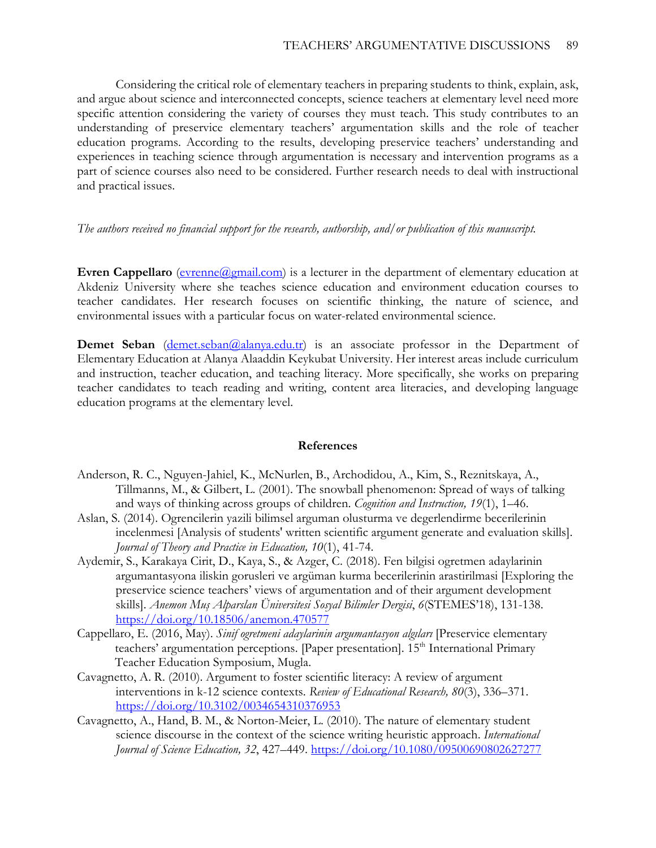Considering the critical role of elementary teachers in preparing students to think, explain, ask, and argue about science and interconnected concepts, science teachers at elementary level need more specific attention considering the variety of courses they must teach. This study contributes to an understanding of preservice elementary teachers' argumentation skills and the role of teacher education programs. According to the results, developing preservice teachers' understanding and experiences in teaching science through argumentation is necessary and intervention programs as a part of science courses also need to be considered. Further research needs to deal with instructional and practical issues.

### *The authors received no financial support for the research, authorship, and/or publication of this manuscript.*

**Evren Cappellaro** (evrenne (a) email.com) is a lecturer in the department of elementary education at Akdeniz University where she teaches science education and environment education courses to teacher candidates. Her research focuses on scientific thinking, the nature of science, and environmental issues with a particular focus on water-related environmental science.

**Demet Seban** [\(demet.seban@alanya.edu.tr\)](mailto:demet.seban@alanya.edu.tr) is an associate professor in the Department of Elementary Education at Alanya Alaaddin Keykubat University. Her interest areas include curriculum and instruction, teacher education, and teaching literacy. More specifically, she works on preparing teacher candidates to teach reading and writing, content area literacies, and developing language education programs at the elementary level.

#### **References**

- Anderson, R. C., Nguyen-Jahiel, K., McNurlen, B., Archodidou, A., Kim, S., Reznitskaya, A., Tillmanns, M., & Gilbert, L. (2001). The snowball phenomenon: Spread of ways of talking and ways of thinking across groups of children. *Cognition and Instruction, 19*(1), 1–46.
- Aslan, S. (2014). Ogrencilerin yazili bilimsel arguman olusturma ve degerlendirme becerilerinin incelenmesi [Analysis of students' written scientific argument generate and evaluation skills]. *Journal of Theory and Practice in Education, 10*(1), 41-74.
- Aydemir, S., Karakaya Cirit, D., Kaya, S., & Azger, C. (2018). Fen bilgisi ogretmen adaylarinin argumantasyona iliskin gorusleri ve argüman kurma becerilerinin arastirilmasi [Exploring the preservice science teachers' views of argumentation and of their argument development skills]. *Anemon Muş Alparslan Üniversitesi Sosyal Bilimler Dergisi*, *6*(STEMES'18), 131-138. <https://doi.org/10.18506/anemon.470577>
- Cappellaro, E. (2016, May). *Sinif ogretmeni adaylarinin argumantasyon algıları* [Preservice elementary teachers' argumentation perceptions. [Paper presentation]. 15<sup>th</sup> International Primary Teacher Education Symposium, Mugla.
- Cavagnetto, A. R. (2010). Argument to foster scientific literacy: A review of argument interventions in k-12 science contexts. *Review of Educational Research, 80*(3), 336–371. <https://doi.org/10.3102/0034654310376953>
- Cavagnetto, A., Hand, B. M., & Norton-Meier, L. (2010). The nature of elementary student science discourse in the context of the science writing heuristic approach. *International Journal of Science Education, 32*, 427–449.<https://doi.org/10.1080/09500690802627277>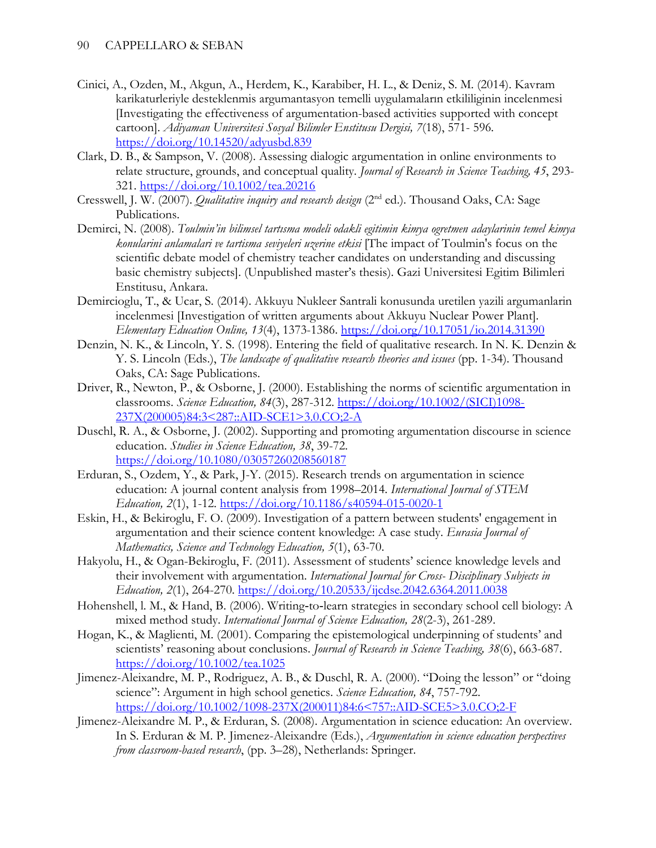- Cinici, A., Ozden, M., Akgun, A., Herdem, K., Karabiber, H. L., & Deniz, S. M. (2014). Kavram karikaturleriyle desteklenmis argumantasyon temelli uygulamaların etkililiginin incelenmesi [Investigating the effectiveness of argumentation-based activities supported with concept cartoon]. *Adiyaman Universitesi Sosyal Bilimler Enstitusu Dergisi, 7*(18), 571- 596*.* <https://doi.org/10.14520/adyusbd.839>
- Clark, D. B., & Sampson, V. (2008). Assessing dialogic argumentation in online environments to relate structure, grounds, and conceptual quality. *Journal of Research in Science Teaching, 45*, 293- 321.<https://doi.org/10.1002/tea.20216>
- Cresswell, J. W. (2007). *Qualitative inquiry and research design* (2<sup>nd</sup> ed.). Thousand Oaks, CA: Sage Publications.
- Demirci, N. (2008). *Toulmin'in bilimsel tartısma modeli odakli egitimin kimya ogretmen adaylarinin temel kimya konularini anlamalari ve tartisma seviyeleri uzerine etkisi* [The impact of Toulmin's focus on the scientific debate model of chemistry teacher candidates on understanding and discussing basic chemistry subjects]. (Unpublished master's thesis). Gazi Universitesi Egitim Bilimleri Enstitusu, Ankara.
- Demircioglu, T., & Ucar, S. (2014). Akkuyu Nukleer Santrali konusunda uretilen yazili argumanlarin incelenmesi [Investigation of written arguments about Akkuyu Nuclear Power Plant]. *Elementary Education Online, 13*(4), 1373-1386. [https://doi.org/10.17051](https://doi.org/10.17051/io.2014.31390)*/*io*.*2014.31390
- Denzin, N. K., & Lincoln, Y. S. (1998). Entering the field of qualitative research. In N. K. Denzin & Y. S. Lincoln (Eds.), *The landscape of qualitative research theories and issues* (pp. 1-34). Thousand Oaks, CA: Sage Publications.
- Driver, R., Newton, P., & Osborne, J. (2000). Establishing the norms of scientific argumentation in classrooms. *Science Education, 84*(3), 287-312. [https://doi.org/10.1002/\(SICI\)1098-](https://doi.org/10.1002/(SICI)1098-237X(200005)84:3%3c287::AID-SCE1%3e3.0.CO;2-A) [237X\(200005\)84:3<287::AID-SCE1>3.0.CO;2-A](https://doi.org/10.1002/(SICI)1098-237X(200005)84:3%3c287::AID-SCE1%3e3.0.CO;2-A)
- Duschl, R. A., & Osborne, J. (2002). Supporting and promoting argumentation discourse in science education. *Studies in Science Education, 38*, 39-72. <https://doi.org/10.1080/03057260208560187>
- Erduran, S., Ozdem, Y., & Park, J-Y. (2015). Research trends on argumentation in science education: A journal content analysis from 1998–2014. *International Journal of STEM Education, 2*(1), 1-12. <https://doi.org/10.1186/s40594-015-0020-1>
- Eskin, H., & Bekiroglu, F. O. (2009). Investigation of a pattern between students' engagement in argumentation and their science content knowledge: A case study. *Eurasia Journal of Mathematics, Science and Technology Education, 5*(1), 63-70.
- Hakyolu, H., & Ogan-Bekiroglu, F. (2011). Assessment of students' science knowledge levels and their involvement with argumentation. *International Journal for Cross- Disciplinary Subjects in Education, 2*(1), 264-270. [https://doi.org/10.20533](https://doi.org/10.20533/ijcdse.2042.6364.2011.0038)*/*ijcdse*.*2042.6364.2011.0038
- Hohenshell, l. M., & Hand, B. (2006). Writing‐to‐learn strategies in secondary school cell biology: A mixed method study. *International Journal of Science Education, 28*(2-3), 261-289.
- Hogan, K., & Maglienti, M. (2001). Comparing the epistemological underpinning of students' and scientists' reasoning about conclusions. *Journal of Research in Science Teaching, 38*(6), 663-687. <https://doi.org/10.1002/tea.1025>
- Jimenez-Aleixandre, M. P., Rodriguez, A. B., & Duschl, R. A. (2000). "Doing the lesson" or "doing science": Argument in high school genetics. *Science Education, 84*, 757-792. [https://doi.org/10.1002/1098-237X\(200011\)84:6<757::AID-SCE5>3.0.CO;2-F](https://doi.org/10.1002/1098-237X(200011)84:6%3c757::AID-SCE5%3e3.0.CO;2-F)
- Jimenez-Aleixandre M. P., & Erduran, S. (2008). Argumentation in science education: An overview. In S. Erduran & M. P. Jimenez-Aleixandre (Eds.), *Argumentation in science education perspectives from classroom-based research*, (pp. 3–28), Netherlands: Springer.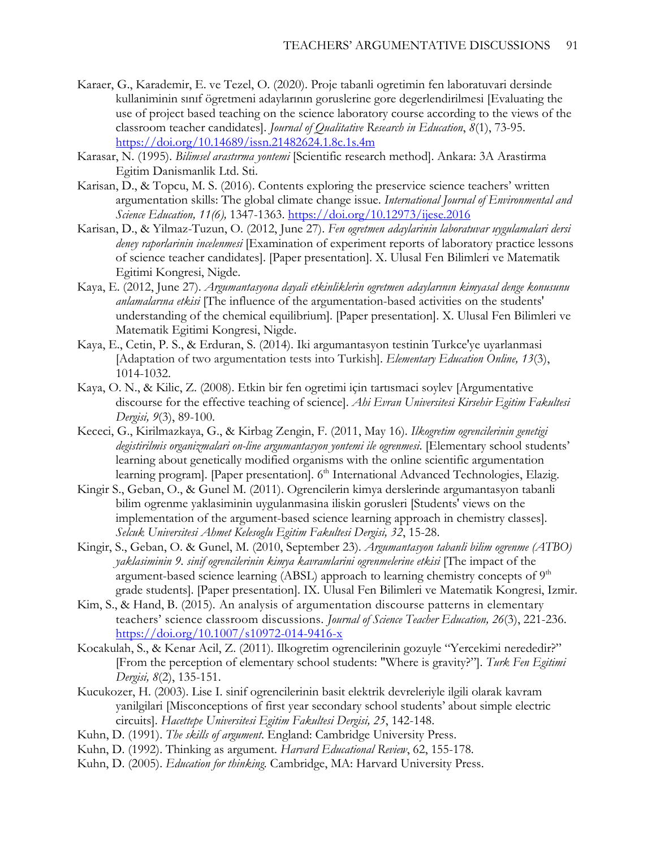- Karaer, G., Karademir, E. ve Tezel, O. (2020). Proje tabanli ogretimin fen laboratuvari dersinde kullaniminin sınıf ögretmeni adaylarının goruslerine gore degerlendirilmesi [Evaluating the use of project based teaching on the science laboratory course according to the views of the classroom teacher candidates]. *Journal of Qualitative Research in Education*, *8*(1), 73-95. <https://doi.org/10.14689/issn.21482624.1.8c.1s.4m>
- Karasar, N. (1995). *Bilimsel arastırma yontemi* [Scientific research method]. Ankara: 3A Arastirma Egitim Danismanlik Ltd. Sti.
- Karisan, D., & Topcu, M. S. (2016). Contents exploring the preservice science teachers' written argumentation skills: The global climate change issue. *International Journal of Environmental and Science Education, 11(6),* 1347-1363.<https://doi.org/10.12973/ijese.2016>
- Karisan, D., & Yilmaz-Tuzun, O. (2012, June 27). *Fen ogretmen adaylarinin laboratuvar uygulamalari dersi deney raporlarinin incelenmesi* [Examination of experiment reports of laboratory practice lessons of science teacher candidates]. [Paper presentation]. X. Ulusal Fen Bilimleri ve Matematik Egitimi Kongresi, Nigde.
- Kaya, E. (2012, June 27). *Argumantasyona dayali etkinliklerin ogretmen adaylarının kimyasal denge konusunu anlamalarına etkisi* [The influence of the argumentation-based activities on the students' understanding of the chemical equilibrium]. [Paper presentation]. X. Ulusal Fen Bilimleri ve Matematik Egitimi Kongresi, Nigde.
- Kaya, E., Cetin, P. S., & Erduran, S. (2014). Iki argumantasyon testinin Turkce'ye uyarlanmasi [Adaptation of two argumentation tests into Turkish]. *Elementary Education Online, 13*(3), 1014-1032.
- Kaya, O. N., & Kilic, Z. (2008). Etkin bir fen ogretimi için tartısmaci soylev [Argumentative discourse for the effective teaching of science]. *Ahi Evran Universitesi Kirsehir Egitim Fakultesi Dergisi, 9*(3), 89-100.
- Kececi, G., Kirilmazkaya, G., & Kirbag Zengin, F. (2011, May 16). *Ilkogretim ogrencilerinin genetigi degistirilmis organizmalari on-line argumantasyon yontemi ile ogrenmesi*. [Elementary school students' learning about genetically modified organisms with the online scientific argumentation learning program]. [Paper presentation]. 6<sup>th</sup> International Advanced Technologies, Elazig.
- Kingir S., Geban, O., & Gunel M. (2011). Ogrencilerin kimya derslerinde argumantasyon tabanli bilim ogrenme yaklasiminin uygulanmasina iliskin gorusleri [Students' views on the implementation of the argument-based science learning approach in chemistry classes]. *Selcuk Universitesi Ahmet Kelesoglu Egitim Fakultesi Dergisi, 32*, 15-28.
- Kingir, S., Geban, O. & Gunel, M. (2010, September 23). *Argumantasyon tabanli bilim ogrenme (ATBO) yaklasiminin 9. sinif ogrencilerinin kimya kavramlarini ogrenmelerine etkisi* [The impact of the argument-based science learning (ABSL) approach to learning chemistry concepts of  $9<sup>th</sup>$ grade students]. [Paper presentation]. IX. Ulusal Fen Bilimleri ve Matematik Kongresi, Izmir.
- Kim, S., & Hand, B. (2015). An analysis of argumentation discourse patterns in elementary teachers' science classroom discussions. *Journal of Science Teacher Education, 26*(3), 221-236. <https://doi.org/10.1007/s10972-014-9416-x>
- Kocakulah, S., & Kenar Acil, Z. (2011). Ilkogretim ogrencilerinin gozuyle "Yercekimi nerededir?" [From the perception of elementary school students: "Where is gravity?"]. *Turk Fen Egitimi Dergisi, 8*(2), 135-151.
- Kucukozer, H. (2003). Lise I. sinif ogrencilerinin basit elektrik devreleriyle ilgili olarak kavram yanilgilari [Misconceptions of first year secondary school students' about simple electric circuits]. *Hacettepe Universitesi Egitim Fakultesi Dergisi, 25*, 142-148.
- Kuhn, D. (1991). *The skills of argument*. England: Cambridge University Press.
- Kuhn, D. (1992). Thinking as argument. *Harvard Educational Review*, 62, 155-178.
- Kuhn, D. (2005). *Education for thinking.* Cambridge, MA: Harvard University Press.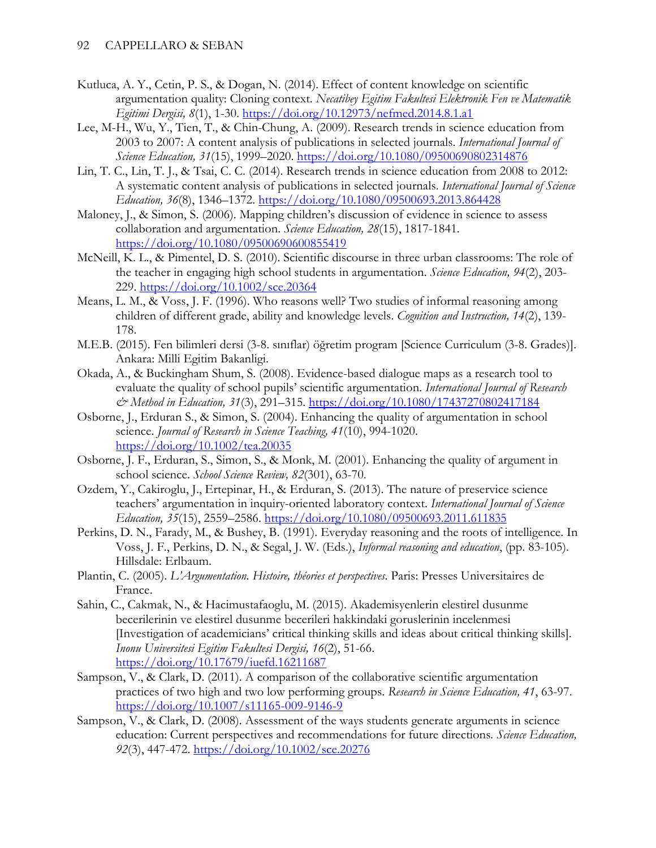- Kutluca, A. Y., Cetin, P. S., & Dogan, N. (2014). Effect of content knowledge on scientific argumentation quality: Cloning context. *Necatibey Egitim Fakultesi Elektronik Fen ve Matematik Egitimi Dergisi, 8*(1), 1-30.<https://doi.org/10.12973/nefmed.2014.8.1.a1>
- Lee, M-H., Wu, Y., Tien, T., & Chin-Chung, A. (2009). Research trends in science education from 2003 to 2007: A content analysis of publications in selected journals. *International Journal of Science Education, 31*(15), 1999–2020. <https://doi.org/10.1080/09500690802314876>
- Lin, T. C., Lin, T. J., & Tsai, C. C. (2014). Research trends in science education from 2008 to 2012: A systematic content analysis of publications in selected journals. *International Journal of Science Education, 36*(8), 1346–1372.<https://doi.org/10.1080/09500693.2013.864428>
- Maloney, J., & Simon, S. (2006). Mapping children's discussion of evidence in science to assess collaboration and argumentation. *Science Education, 28*(15), 1817-1841. <https://doi.org/10.1080/09500690600855419>
- McNeill, K. L., & Pimentel, D. S. (2010). Scientific discourse in three urban classrooms: The role of the teacher in engaging high school students in argumentation. *Science Education, 94*(2), 203- 229. <https://doi.org/10.1002/sce.20364>
- Means, L. M., & Voss, J. F. (1996). Who reasons well? Two studies of informal reasoning among children of different grade, ability and knowledge levels. *Cognition and Instruction, 14*(2), 139- 178.
- M.E.B. (2015). Fen bilimleri dersi (3-8. sınıflar) öğretim program [Science Curriculum (3-8. Grades)]. Ankara: Milli Egitim Bakanligi.
- Okada, A., & Buckingham Shum, S. (2008). Evidence-based dialogue maps as a research tool to evaluate the quality of school pupils' scientific argumentation. *International Journal of Research & Method in Education, 31*(3), 291–315. <https://doi.org/10.1080/17437270802417184>
- Osborne, J., Erduran S., & Simon, S. (2004). Enhancing the quality of argumentation in school science. *Journal of Research in Science Teaching, 41*(10), 994-1020. <https://doi.org/10.1002/tea.20035>
- Osborne, J. F., Erduran, S., Simon, S., & Monk, M. (2001). Enhancing the quality of argument in school science. *School Science Review, 82*(301), 63-70.
- Ozdem, Y., Cakiroglu, J., Ertepinar, H., & Erduran, S. (2013). The nature of preservice science teachers' argumentation in inquiry-oriented laboratory context. *International Journal of Science Education, 35*(15), 2559–2586.<https://doi.org/10.1080/09500693.2011.611835>
- Perkins, D. N., Farady, M., & Bushey, B. (1991). Everyday reasoning and the roots of intelligence. In Voss, J. F., Perkins, D. N., & Segal, J. W. (Eds.), *Informal reasoning and education*, (pp. 83-105). Hillsdale: Erlbaum.
- Plantin, C. (2005). *L'Argumentation. Histoire, théories et perspectives*. Paris: Presses Universitaires de France.
- Sahin, C., Cakmak, N., & Hacimustafaoglu, M. (2015). Akademisyenlerin elestirel dusunme becerilerinin ve elestirel dusunme becerileri hakkindaki goruslerinin incelenmesi [Investigation of academicians' critical thinking skills and ideas about critical thinking skills]. *Inonu Universitesi Egitim Fakultesi Dergisi, 16*(2), 51-66. <https://doi.org/10.17679/iuefd.16211687>
- Sampson, V., & Clark, D. (2011). A comparison of the collaborative scientific argumentation practices of two high and two low performing groups. *Research in Science Education, 41*, 63-97. <https://doi.org/10.1007/s11165-009-9146-9>
- Sampson, V., & Clark, D. (2008). Assessment of the ways students generate arguments in science education: Current perspectives and recommendations for future directions*. Science Education, 92*(3), 447-472. <https://doi.org/10.1002/sce.20276>